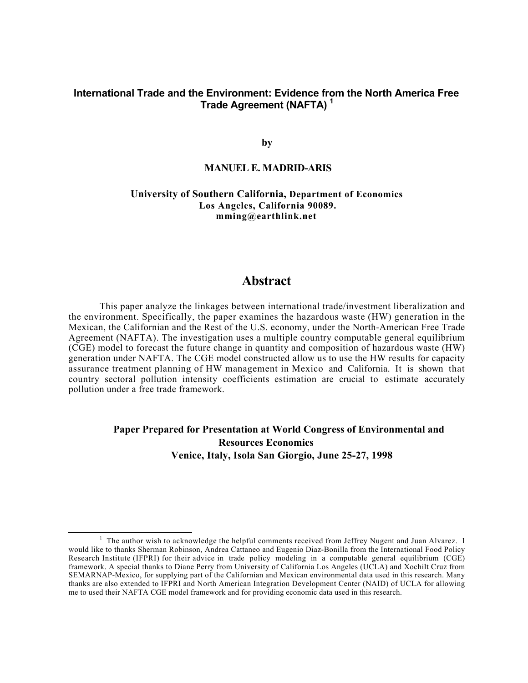# **International Trade and the Environment: Evidence from the North America Free Trade Agreement (NAFTA) <sup>1</sup>**

**by**

## **MANUEL E. MADRID-ARIS**

**University of Southern California, Department of Economics Los Angeles, California 90089. mming@earthlink.net**

# **Abstract**

This paper analyze the linkages between international trade/investment liberalization and the environment. Specifically, the paper examines the hazardous waste (HW) generation in the Mexican, the Californian and the Rest of the U.S. economy, under the North-American Free Trade Agreement (NAFTA). The investigation uses a multiple country computable general equilibrium (CGE) model to forecast the future change in quantity and composition of hazardous waste (HW) generation under NAFTA. The CGE model constructed allow us to use the HW results for capacity assurance treatment planning of HW management in Mexico and California. It is shown that country sectoral pollution intensity coefficients estimation are crucial to estimate accurately pollution under a free trade framework.

# **Paper Prepared for Presentation at World Congress of Environmental and Resources Economics Venice, Italy, Isola San Giorgio, June 25-27, 1998**

l

<sup>&</sup>lt;sup>1</sup> The author wish to acknowledge the helpful comments received from Jeffrey Nugent and Juan Alvarez. I would like to thanks Sherman Robinson, Andrea Cattaneo and Eugenio Diaz-Bonilla from the International Food Policy Research Institute (IFPRI) for their advice in trade policy modeling in a computable general equilibrium (CGE) framework. A special thanks to Diane Perry from University of California Los Angeles (UCLA) and Xochilt Cruz from SEMARNAP-Mexico, for supplying part of the Californian and Mexican environmental data used in this research. Many thanks are also extended to IFPRI and North American Integration Development Center (NAID) of UCLA for allowing me to used their NAFTA CGE model framework and for providing economic data used in this research.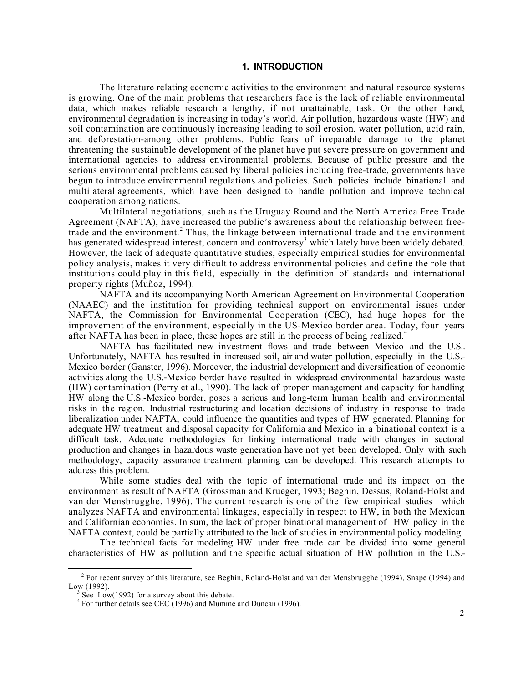## **1. INTRODUCTION**

The literature relating economic activities to the environment and natural resource systems is growing. One of the main problems that researchers face is the lack of reliable environmental data, which makes reliable research a lengthy, if not unattainable, task. On the other hand, environmental degradation is increasing in today's world. Air pollution, hazardous waste (HW) and soil contamination are continuously increasing leading to soil erosion, water pollution, acid rain, and deforestation-among other problems. Public fears of irreparable damage to the planet threatening the sustainable development of the planet have put severe pressure on government and international agencies to address environmental problems. Because of public pressure and the serious environmental problems caused by liberal policies including free-trade, governments have begun to introduce environmental regulations and policies. Such policies include binational and multilateral agreements, which have been designed to handle pollution and improve technical cooperation among nations.

Multilateral negotiations, such as the Uruguay Round and the North America Free Trade Agreement (NAFTA), have increased the public's awareness about the relationship between freetrade and the environment.<sup>2</sup> Thus, the linkage between international trade and the environment has generated widespread interest, concern and controversy<sup>3</sup> which lately have been widely debated. However, the lack of adequate quantitative studies, especially empirical studies for environmental policy analysis, makes it very difficult to address environmental policies and define the role that institutions could play in this field, especially in the definition of standards and international property rights (Muñoz, 1994).

NAFTA and its accompanying North American Agreement on Environmental Cooperation (NAAEC) and the institution for providing technical support on environmental issues under NAFTA, the Commission for Environmental Cooperation (CEC), had huge hopes for the improvement of the environment, especially in the US-Mexico border area. Today, four years after NAFTA has been in place, these hopes are still in the process of being realized.<sup>4</sup>

NAFTA has facilitated new investment flows and trade between Mexico and the U.S.. Unfortunately, NAFTA has resulted in increased soil, air and water pollution, especially in the U.S.- Mexico border (Ganster, 1996). Moreover, the industrial development and diversification of economic activities along the U.S.-Mexico border have resulted in widespread environmental hazardous waste (HW) contamination (Perry et al., 1990). The lack of proper management and capacity for handling HW along the U.S.-Mexico border, poses a serious and long-term human health and environmental risks in the region. Industrial restructuring and location decisions of industry in response to trade liberalization under NAFTA, could influence the quantities and types of HW generated. Planning for adequate HW treatment and disposal capacity for California and Mexico in a binational context is a difficult task. Adequate methodologies for linking international trade with changes in sectoral production and changes in hazardous waste generation have not yet been developed. Only with such methodology, capacity assurance treatment planning can be developed. This research attempts to address this problem.

While some studies deal with the topic of international trade and its impact on the environment as result of NAFTA (Grossman and Krueger, 1993; Beghin, Dessus, Roland-Holst and van der Mensbrugghe, 1996). The current research is one of the few empirical studies which analyzes NAFTA and environmental linkages, especially in respect to HW, in both the Mexican and Californian economies. In sum, the lack of proper binational management of HW policy in the NAFTA context, could be partially attributed to the lack of studies in environmental policy modeling.

The technical facts for modeling HW under free trade can be divided into some general characteristics of HW as pollution and the specific actual situation of HW pollution in the U.S.-

l

<sup>&</sup>lt;sup>2</sup> For recent survey of this literature, see Beghin, Roland-Holst and van der Mensbrugghe (1994), Snape (1994) and Low (1992).

 $3$  See Low(1992) for a survey about this debate.

<sup>&</sup>lt;sup>4</sup> For further details see CEC (1996) and Mumme and Duncan (1996).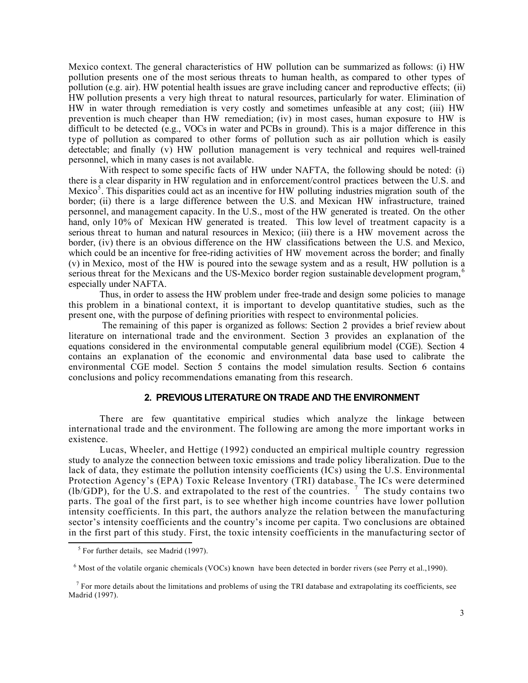Mexico context. The general characteristics of HW pollution can be summarized as follows: (i) HW pollution presents one of the most serious threats to human health, as compared to other types of pollution (e.g. air). HW potential health issues are grave including cancer and reproductive effects; (ii) HW pollution presents a very high threat to natural resources, particularly for water. Elimination of HW in water through remediation is very costly and sometimes unfeasible at any cost; (iii) HW prevention is much cheaper than HW remediation; (iv) in most cases, human exposure to HW is difficult to be detected (e.g., VOCs in water and PCBs in ground). This is a major difference in this type of pollution as compared to other forms of pollution such as air pollution which is easily detectable; and finally (v) HW pollution management is very technical and requires well-trained personnel, which in many cases is not available.

With respect to some specific facts of HW under NAFTA, the following should be noted: (i) there is a clear disparity in HW regulation and in enforcement/control practices between the U.S. and Mexico<sup>5</sup>. This disparities could act as an incentive for HW polluting industries migration south of the border; (ii) there is a large difference between the U.S. and Mexican HW infrastructure, trained personnel, and management capacity. In the U.S., most of the HW generated is treated. On the other hand, only 10% of Mexican HW generated is treated. This low level of treatment capacity is a serious threat to human and natural resources in Mexico; (iii) there is a HW movement across the border, (iv) there is an obvious difference on the HW classifications between the U.S. and Mexico, which could be an incentive for free-riding activities of HW movement across the border; and finally (v) in Mexico, most of the HW is poured into the sewage system and as a result, HW pollution is a serious threat for the Mexicans and the US-Mexico border region sustainable development program, especially under NAFTA.

Thus, in order to assess the HW problem under free-trade and design some policies to manage this problem in a binational context, it is important to develop quantitative studies, such as the present one, with the purpose of defining priorities with respect to environmental policies.

The remaining of this paper is organized as follows: Section 2 provides a brief review about literature on international trade and the environment. Section 3 provides an explanation of the equations considered in the environmental computable general equilibrium model (CGE). Section 4 contains an explanation of the economic and environmental data base used to calibrate the environmental CGE model. Section 5 contains the model simulation results. Section 6 contains conclusions and policy recommendations emanating from this research.

#### **2. PREVIOUS LITERATURE ON TRADE AND THE ENVIRONMENT**

There are few quantitative empirical studies which analyze the linkage between international trade and the environment. The following are among the more important works in existence.

Lucas, Wheeler, and Hettige (1992) conducted an empirical multiple country regression study to analyze the connection between toxic emissions and trade policy liberalization. Due to the lack of data, they estimate the pollution intensity coefficients (ICs) using the U.S. Environmental Protection Agency's (EPA) Toxic Release Inventory (TRI) database. The ICs were determined (lb/GDP), for the U.S. and extrapolated to the rest of the countries. <sup>7</sup> The study contains two parts. The goal of the first part, is to see whether high income countries have lower pollution intensity coefficients. In this part, the authors analyze the relation between the manufacturing sector's intensity coefficients and the country's income per capita. Two conclusions are obtained in the first part of this study. First, the toxic intensity coefficients in the manufacturing sector of l

 $<sup>5</sup>$  For further details, see Madrid (1997).</sup>

<sup>&</sup>lt;sup>6</sup> Most of the volatile organic chemicals (VOCs) known have been detected in border rivers (see Perry et al., 1990).

 $<sup>7</sup>$  For more details about the limitations and problems of using the TRI database and extrapolating its coefficients, see</sup> Madrid (1997).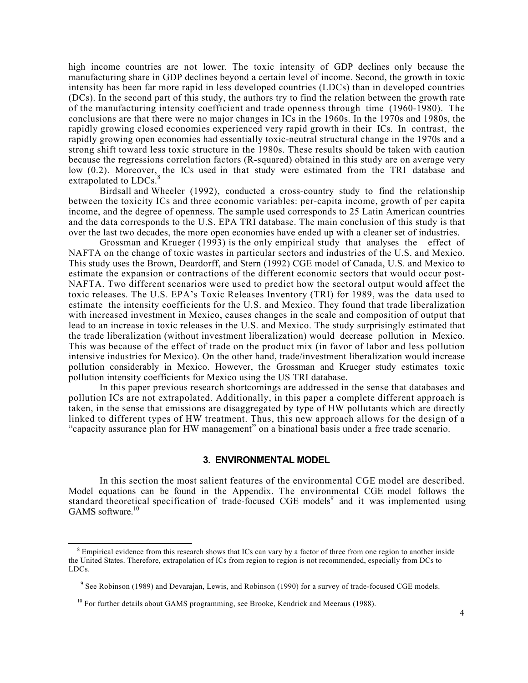high income countries are not lower. The toxic intensity of GDP declines only because the manufacturing share in GDP declines beyond a certain level of income. Second, the growth in toxic intensity has been far more rapid in less developed countries (LDCs) than in developed countries (DCs). In the second part of this study, the authors try to find the relation between the growth rate of the manufacturing intensity coefficient and trade openness through time (1960-1980). The conclusions are that there were no major changes in ICs in the 1960s. In the 1970s and 1980s, the rapidly growing closed economies experienced very rapid growth in their ICs. In contrast, the rapidly growing open economies had essentially toxic-neutral structural change in the 1970s and a strong shift toward less toxic structure in the 1980s. These results should be taken with caution because the regressions correlation factors (R-squared) obtained in this study are on average very low (0.2). Moreover, the ICs used in that study were estimated from the TRI database and extrapolated to LDCs.

Birdsall and Wheeler (1992), conducted a cross-country study to find the relationship between the toxicity ICs and three economic variables: per-capita income, growth of per capita income, and the degree of openness. The sample used corresponds to 25 Latin American countries and the data corresponds to the U.S. EPA TRI database. The main conclusion of this study is that over the last two decades, the more open economies have ended up with a cleaner set of industries.

Grossman and Krueger (1993) is the only empirical study that analyses the effect of NAFTA on the change of toxic wastes in particular sectors and industries of the U.S. and Mexico. This study uses the Brown, Deardorff, and Stern (1992) CGE model of Canada, U.S. and Mexico to estimate the expansion or contractions of the different economic sectors that would occur post-NAFTA. Two different scenarios were used to predict how the sectoral output would affect the toxic releases. The U.S. EPA's Toxic Releases Inventory (TRI) for 1989, was the data used to estimate the intensity coefficients for the U.S. and Mexico. They found that trade liberalization with increased investment in Mexico, causes changes in the scale and composition of output that lead to an increase in toxic releases in the U.S. and Mexico. The study surprisingly estimated that the trade liberalization (without investment liberalization) would decrease pollution in Mexico. This was because of the effect of trade on the product mix (in favor of labor and less pollution intensive industries for Mexico). On the other hand, trade/investment liberalization would increase pollution considerably in Mexico. However, the Grossman and Krueger study estimates toxic pollution intensity coefficients for Mexico using the US TRI database.

In this paper previous research shortcomings are addressed in the sense that databases and pollution ICs are not extrapolated. Additionally, in this paper a complete different approach is taken, in the sense that emissions are disaggregated by type of HW pollutants which are directly linked to different types of HW treatment. Thus, this new approach allows for the design of a "capacity assurance plan for HW management" on a binational basis under a free trade scenario.

### **3. ENVIRONMENTAL MODEL**

In this section the most salient features of the environmental CGE model are described. Model equations can be found in the Appendix. The environmental CGE model follows the standard theoretical specification of trade-focused CGE models<sup>9</sup> and it was implemented using  $GAMS$  software.<sup>10</sup>

 $\overline{a}$ 

 $8$  Empirical evidence from this research shows that ICs can vary by a factor of three from one region to another inside the United States. Therefore, extrapolation of ICs from region to region is not recommended, especially from DCs to LDCs.

<sup>&</sup>lt;sup>9</sup> See Robinson (1989) and Devarajan, Lewis, and Robinson (1990) for a survey of trade-focused CGE models.

<sup>&</sup>lt;sup>10</sup> For further details about GAMS programming, see Brooke, Kendrick and Meeraus (1988).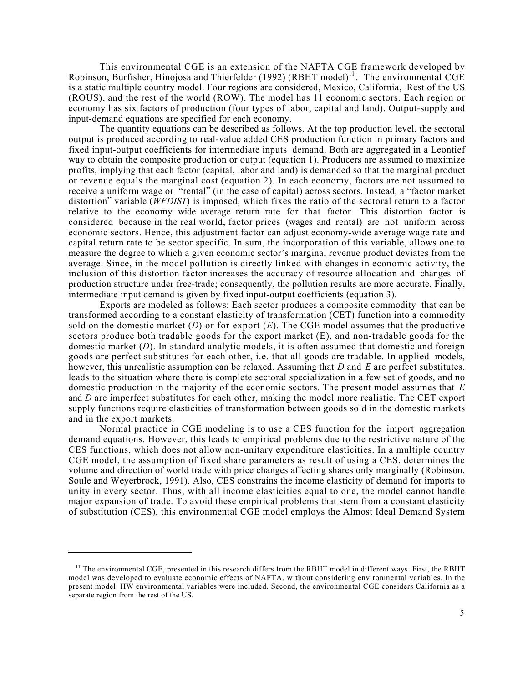This environmental CGE is an extension of the NAFTA CGE framework developed by Robinson, Burfisher, Hinojosa and Thierfelder (1992) (RBHT model)<sup>11</sup>. The environmental CGE is a static multiple country model. Four regions are considered, Mexico, California, Rest of the US (ROUS), and the rest of the world (ROW). The model has 11 economic sectors. Each region or economy has six factors of production (four types of labor, capital and land). Output-supply and input-demand equations are specified for each economy.

The quantity equations can be described as follows. At the top production level, the sectoral output is produced according to real-value added CES production function in primary factors and fixed input-output coefficients for intermediate inputs demand. Both are aggregated in a Leontief way to obtain the composite production or output (equation 1). Producers are assumed to maximize profits, implying that each factor (capital, labor and land) is demanded so that the marginal product or revenue equals the marginal cost (equation 2). In each economy, factors are not assumed to receive a uniform wage or "rental" (in the case of capital) across sectors. Instead, a "factor market distortion" variable (*WFDIST*) is imposed, which fixes the ratio of the sectoral return to a factor relative to the economy wide average return rate for that factor. This distortion factor is considered because in the real world, factor prices (wages and rental) are not uniform across economic sectors. Hence, this adjustment factor can adjust economy-wide average wage rate and capital return rate to be sector specific. In sum, the incorporation of this variable, allows one to measure the degree to which a given economic sector's marginal revenue product deviates from the average. Since, in the model pollution is directly linked with changes in economic activity, the inclusion of this distortion factor increases the accuracy of resource allocation and changes of production structure under free-trade; consequently, the pollution results are more accurate. Finally, intermediate input demand is given by fixed input-output coefficients (equation 3).

Exports are modeled as follows: Each sector produces a composite commodity that can be transformed according to a constant elasticity of transformation (CET) function into a commodity sold on the domestic market  $(D)$  or for export  $(E)$ . The CGE model assumes that the productive sectors produce both tradable goods for the export market (E), and non-tradable goods for the domestic market (*D*). In standard analytic models, it is often assumed that domestic and foreign goods are perfect substitutes for each other, i.e. that all goods are tradable. In applied models, however, this unrealistic assumption can be relaxed. Assuming that *D* and *E* are perfect substitutes, leads to the situation where there is complete sectoral specialization in a few set of goods, and no domestic production in the majority of the economic sectors. The present model assumes that *E* and *D* are imperfect substitutes for each other, making the model more realistic. The CET export supply functions require elasticities of transformation between goods sold in the domestic markets and in the export markets.

Normal practice in CGE modeling is to use a CES function for the import aggregation demand equations. However, this leads to empirical problems due to the restrictive nature of the CES functions, which does not allow non-unitary expenditure elasticities. In a multiple country CGE model, the assumption of fixed share parameters as result of using a CES, determines the volume and direction of world trade with price changes affecting shares only marginally (Robinson, Soule and Weyerbrock, 1991). Also, CES constrains the income elasticity of demand for imports to unity in every sector. Thus, with all income elasticities equal to one, the model cannot handle major expansion of trade. To avoid these empirical problems that stem from a constant elasticity of substitution (CES), this environmental CGE model employs the Almost Ideal Demand System

 $\overline{\phantom{a}}$ 

 $<sup>11</sup>$  The environmental CGE, presented in this research differs from the RBHT model in different ways. First, the RBHT</sup> model was developed to evaluate economic effects of NAFTA, without considering environmental variables. In the present model HW environmental variables were included. Second, the environmental CGE considers California as a separate region from the rest of the US.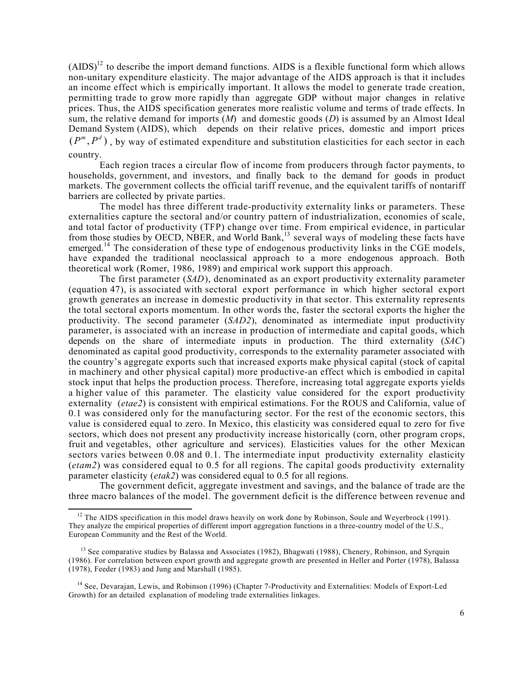$(AIDS)^{12}$  to describe the import demand functions. AIDS is a flexible functional form which allows non-unitary expenditure elasticity. The major advantage of the AIDS approach is that it includes an income effect which is empirically important. It allows the model to generate trade creation, permitting trade to grow more rapidly than aggregate GDP without major changes in relative prices. Thus, the AIDS specification generates more realistic volume and terms of trade effects. In sum, the relative demand for imports (*M*) and domestic goods (*D*) is assumed by an Almost Ideal Demand System (AIDS), which depends on their relative prices, domestic and import prices  $(P^m, P^d)$ , by way of estimated expenditure and substitution elasticities for each sector in each country.

Each region traces a circular flow of income from producers through factor payments, to households, government, and investors, and finally back to the demand for goods in product markets. The government collects the official tariff revenue, and the equivalent tariffs of nontariff barriers are collected by private parties.

The model has three different trade-productivity externality links or parameters. These externalities capture the sectoral and/or country pattern of industrialization, economies of scale, and total factor of productivity (TFP) change over time. From empirical evidence, in particular from those studies by OECD, NBER, and World Bank,<sup>13</sup> several ways of modeling these facts have emerged.<sup>14</sup> The consideration of these type of endogenous productivity links in the CGE models, have expanded the traditional neoclassical approach to a more endogenous approach. Both theoretical work (Romer, 1986, 1989) and empirical work support this approach.

The first parameter (*SAD*), denominated as an export productivity externality parameter (equation 47), is associated with sectoral export performance in which higher sectoral export growth generates an increase in domestic productivity in that sector. This externality represents the total sectoral exports momentum. In other words the, faster the sectoral exports the higher the productivity. The second parameter (*SAD2*), denominated as intermediate input productivity parameter, is associated with an increase in production of intermediate and capital goods, which depends on the share of intermediate inputs in production. The third externality (*SAC*) denominated as capital good productivity, corresponds to the externality parameter associated with the country's aggregate exports such that increased exports make physical capital (stock of capital in machinery and other physical capital) more productive-an effect which is embodied in capital stock input that helps the production process. Therefore, increasing total aggregate exports yields a higher value of this parameter. The elasticity value considered for the export productivity externality (*etae2*) is consistent with empirical estimations. For the ROUS and California, value of 0.1 was considered only for the manufacturing sector. For the rest of the economic sectors, this value is considered equal to zero. In Mexico, this elasticity was considered equal to zero for five sectors, which does not present any productivity increase historically (corn, other program crops, fruit and vegetables, other agriculture and services). Elasticities values for the other Mexican sectors varies between 0.08 and 0.1. The intermediate input productivity externality elasticity (*etam2*) was considered equal to 0.5 for all regions. The capital goods productivity externality parameter elasticity (*etak2*) was considered equal to 0.5 for all regions.

The government deficit, aggregate investment and savings, and the balance of trade are the three macro balances of the model. The government deficit is the difference between revenue and

l

<sup>&</sup>lt;sup>12</sup> The AIDS specification in this model draws heavily on work done by Robinson, Soule and Weyerbrock (1991). They analyze the empirical properties of different import aggregation functions in a three-country model of the U.S., European Community and the Rest of the World.

<sup>&</sup>lt;sup>13</sup> See comparative studies by Balassa and Associates (1982), Bhagwati (1988), Chenery, Robinson, and Syrquin (1986). For correlation between export growth and aggregate growth are presented in Heller and Porter (1978), Balassa (1978), Feeder (1983) and Jung and Marshall (1985).

<sup>&</sup>lt;sup>14</sup> See, Devarajan, Lewis, and Robinson (1996) (Chapter 7-Productivity and Externalities: Models of Export-Led Growth) for an detailed explanation of modeling trade externalities linkages.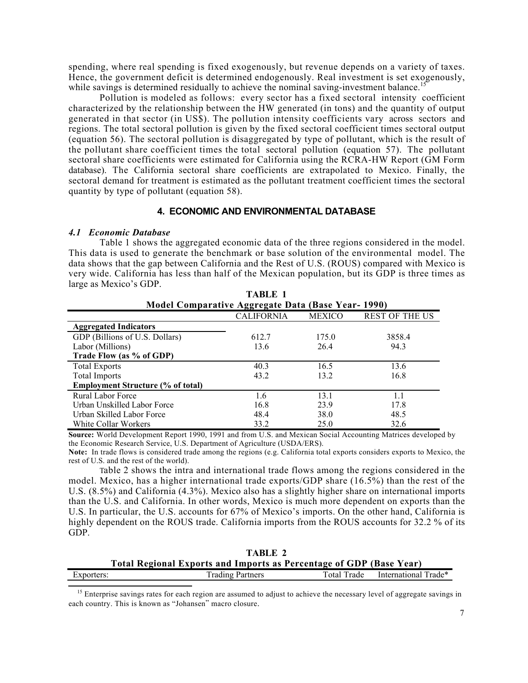spending, where real spending is fixed exogenously, but revenue depends on a variety of taxes. Hence, the government deficit is determined endogenously. Real investment is set exogenously, while savings is determined residually to achieve the nominal saving-investment balance.<sup>1</sup>

Pollution is modeled as follows: every sector has a fixed sectoral intensity coefficient characterized by the relationship between the HW generated (in tons) and the quantity of output generated in that sector (in US\$). The pollution intensity coefficients vary across sectors and regions. The total sectoral pollution is given by the fixed sectoral coefficient times sectoral output (equation 56). The sectoral pollution is disaggregated by type of pollutant, which is the result of the pollutant share coefficient times the total sectoral pollution (equation 57). The pollutant sectoral share coefficients were estimated for California using the RCRA-HW Report (GM Form database). The California sectoral share coefficients are extrapolated to Mexico. Finally, the sectoral demand for treatment is estimated as the pollutant treatment coefficient times the sectoral quantity by type of pollutant (equation 58).

## **4. ECONOMIC AND ENVIRONMENTAL DATABASE**

### *4.1 Economic Database*

 $\overline{\phantom{a}}$ 

Table 1 shows the aggregated economic data of the three regions considered in the model. This data is used to generate the benchmark or base solution of the environmental model. The data shows that the gap between California and the Rest of U.S. (ROUS) compared with Mexico is very wide. California has less than half of the Mexican population, but its GDP is three times as large as Mexico's GDP. **TABLE 1** 

|                                                          | TABLE 1           |               |                       |  |  |  |  |  |  |  |  |  |  |
|----------------------------------------------------------|-------------------|---------------|-----------------------|--|--|--|--|--|--|--|--|--|--|
| <b>Model Comparative Aggregate Data (Base Year-1990)</b> |                   |               |                       |  |  |  |  |  |  |  |  |  |  |
|                                                          | <b>CALIFORNIA</b> | <b>MEXICO</b> | <b>REST OF THE US</b> |  |  |  |  |  |  |  |  |  |  |
| <b>Aggregated Indicators</b>                             |                   |               |                       |  |  |  |  |  |  |  |  |  |  |
| GDP (Billions of U.S. Dollars)                           | 612.7             | 175.0         | 3858.4                |  |  |  |  |  |  |  |  |  |  |
| Labor (Millions)                                         | 13.6              | 26.4          | 94.3                  |  |  |  |  |  |  |  |  |  |  |
| Trade Flow (as % of GDP)                                 |                   |               |                       |  |  |  |  |  |  |  |  |  |  |
| <b>Total Exports</b>                                     | 40.3              | 16.5          | 13.6                  |  |  |  |  |  |  |  |  |  |  |
| <b>Total Imports</b>                                     | 43.2              | 13.2          | 16.8                  |  |  |  |  |  |  |  |  |  |  |
| <b>Employment Structure (% of total)</b>                 |                   |               |                       |  |  |  |  |  |  |  |  |  |  |
| <b>Rural Labor Force</b>                                 | 1.6               | 13.1          | 11                    |  |  |  |  |  |  |  |  |  |  |
| Urban Unskilled Labor Force                              | 16.8              | 23.9          | 17.8                  |  |  |  |  |  |  |  |  |  |  |
| Urban Skilled Labor Force                                | 48.4              | 38.0          | 48.5                  |  |  |  |  |  |  |  |  |  |  |
| White Collar Workers                                     | 33.2              | 25.0          | 32.6                  |  |  |  |  |  |  |  |  |  |  |

**Source:** World Development Report 1990, 1991 and from U.S. and Mexican Social Accounting Matrices developed by the Economic Research Service, U.S. Department of Agriculture (USDA/ERS).

**Note:** In trade flows is considered trade among the regions (e.g. California total exports considers exports to Mexico, the rest of U.S. and the rest of the world).

Table 2 shows the intra and international trade flows among the regions considered in the model. Mexico, has a higher international trade exports/GDP share (16.5%) than the rest of the U.S. (8.5%) and California (4.3%). Mexico also has a slightly higher share on international imports than the U.S. and California. In other words, Mexico is much more dependent on exports than the U.S. In particular, the U.S. accounts for 67% of Mexico's imports. On the other hand, California is highly dependent on the ROUS trade. California imports from the ROUS accounts for 32.2 % of its GDP.

|            | TABLE 2                                                                    |             |                      |  |  |  |  |  |  |  |  |
|------------|----------------------------------------------------------------------------|-------------|----------------------|--|--|--|--|--|--|--|--|
|            | <b>Total Regional Exports and Imports as Percentage of GDP (Base Year)</b> |             |                      |  |  |  |  |  |  |  |  |
| Exporters: | <b>Trading Partners</b>                                                    | Total Trade | International Trade* |  |  |  |  |  |  |  |  |

<sup>15</sup> Enterprise savings rates for each region are assumed to adjust to achieve the necessary level of aggregate savings in each country. This is known as "Johansen" macro closure.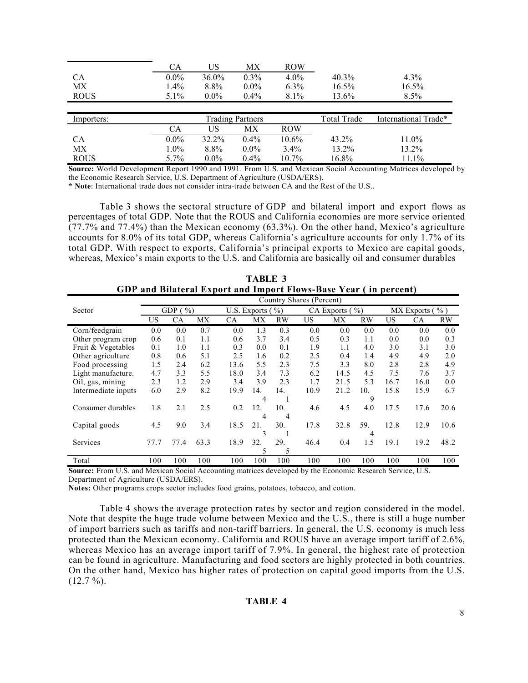|             | CA        | US       | МX                      | <b>ROW</b> |                    |                      |
|-------------|-----------|----------|-------------------------|------------|--------------------|----------------------|
| <b>CA</b>   | $0.0\%$   | $36.0\%$ | $0.3\%$                 | $4.0\%$    | 40.3%              | $4.3\%$              |
| МX          | $1.4\%$   | 8.8%     | $0.0\%$                 | $6.3\%$    | $16.5\%$           | 16.5%                |
| <b>ROUS</b> | $5.1\%$   | $0.0\%$  | $0.4\%$                 | $8.1\%$    | 13.6%              | $8.5\%$              |
|             |           |          |                         |            |                    |                      |
|             |           |          |                         |            |                    |                      |
| Importers:  |           |          | <b>Trading Partners</b> |            | <b>Total Trade</b> | International Trade* |
|             | <b>CA</b> | US       | МX                      | <b>ROW</b> |                    |                      |
| <b>CA</b>   | $0.0\%$   | 32.2%    | $0.4\%$                 | 10.6%      | $43.2\%$           | 11.0%                |
| МX          | $1.0\%$   | 8.8%     | $0.0\%$                 | $3.4\%$    | 13.2%              | 13.2%                |

**Source:** World Development Report 1990 and 1991. From U.S. and Mexican Social Accounting Matrices developed by the Economic Research Service, U.S. Department of Agriculture (USDA/ERS).

**\* Note**: International trade does not consider intra-trade between CA and the Rest of the U.S..

Table 3 shows the sectoral structure of GDP and bilateral import and export flows as percentages of total GDP. Note that the ROUS and California economies are more service oriented  $(77.7\%$  and  $77.4\%)$  than the Mexican economy (63.3%). On the other hand, Mexico's agriculture accounts for 8.0% of its total GDP, whereas California's agriculture accounts for only 1.7% of its total GDP. With respect to exports, California's principal exports to Mexico are capital goods, whereas, Mexico's main exports to the U.S. and California are basically oil and consumer durables

|                     | Country Shares (Percent) |                 |      |      |                      |     |      |              |               |      |                    |           |
|---------------------|--------------------------|-----------------|------|------|----------------------|-----|------|--------------|---------------|------|--------------------|-----------|
| Sector              |                          | GDP (<br>$\%$ ) |      |      | U.S. Exports $(\% )$ |     |      | CA Exports ( | $\frac{9}{0}$ |      | MX Exports $(\% )$ |           |
|                     | US                       | <b>CA</b>       | MX   | CA   | МX                   | RW  | US   | МX           | <b>RW</b>     | US   | <b>CA</b>          | <b>RW</b> |
| Corn/feedgrain      | 0.0                      | 0.0             | 0.7  | 0.0  | 1.3                  | 0.3 | 0.0  | 0.0          | 0.0           | 0.0  | 0.0                | 0.0       |
| Other program crop  | 0.6                      | 0.1             | 1.1  | 0.6  | 3.7                  | 3.4 | 0.5  | 0.3          | 1.1           | 0.0  | 0.0                | 0.3       |
| Fruit & Vegetables  | 0.1                      | 1.0             | 1.1  | 0.3  | 0.0                  | 0.1 | 1.9  | 1.1          | 4.0           | 3.0  | 3.1                | 3.0       |
| Other agriculture   | 0.8                      | 0.6             | 5.1  | 2.5  | 1.6                  | 0.2 | 2.5  | 0.4          | 1.4           | 4.9  | 4.9                | 2.0       |
| Food processing     | 1.5                      | 2.4             | 6.2  | 13.6 | 5.5                  | 2.3 | 7.5  | 3.3          | 8.0           | 2.8  | 2.8                | 4.9       |
| Light manufacture.  | 4.7                      | 3.3             | 5.5  | 18.0 | 3.4                  | 7.3 | 6.2  | 14.5         | 4.5           | 7.5  | 7.6                | 3.7       |
| Oil, gas, mining    | 2.3                      | 1.2             | 2.9  | 3.4  | 3.9                  | 2.3 | 1.7  | 21.5         | 5.3           | 16.7 | 16.0               | 0.0       |
| Intermediate inputs | 6.0                      | 2.9             | 8.2  | 19.9 | 14.                  | 14. | 10.9 | 21.2         | 10.           | 15.8 | 15.9               | 6.7       |
|                     |                          |                 |      |      | 4                    |     |      |              | 9             |      |                    |           |
| Consumer durables   | 1.8                      | 2.1             | 2.5  | 0.2  | 12.                  | 10. | 4.6  | 4.5          | 4.0           | 17.5 | 17.6               | 20.6      |
|                     |                          |                 |      |      | 4                    | 4   |      |              |               |      |                    |           |
| Capital goods       | 4.5                      | 9.0             | 3.4  | 18.5 | 21.                  | 30. | 17.8 | 32.8         | 59.           | 12.8 | 12.9               | 10.6      |
|                     |                          |                 |      |      | 3                    |     |      |              | 4             |      |                    |           |
| Services            | 77.7                     | 77.4            | 63.3 | 18.9 | 32.                  | 29. | 46.4 | 0.4          | 1.5           | 19.1 | 19.2               | 48.2      |
|                     |                          |                 |      |      | 5                    | 5   |      |              |               |      |                    |           |
| Total               | 100                      | 100             | 100  | 100  | 100                  | 100 | 100  | 100          | 100           | 100  | 100                | 100       |

**TABLE 3 GDP and Bilateral Export and Import Flows-Base Year ( in percent)**

**Source:** From U.S. and Mexican Social Accounting matrices developed by the Economic Research Service, U.S. Department of Agriculture (USDA/ERS).

**Notes:** Other programs crops sector includes food grains, potatoes, tobacco, and cotton.

Table 4 shows the average protection rates by sector and region considered in the model. Note that despite the huge trade volume between Mexico and the U.S., there is still a huge number of import barriers such as tariffs and non-tariff barriers. In general, the U.S. economy is much less protected than the Mexican economy. California and ROUS have an average import tariff of 2.6%, whereas Mexico has an average import tariff of 7.9%. In general, the highest rate of protection can be found in agriculture. Manufacturing and food sectors are highly protected in both countries. On the other hand, Mexico has higher rates of protection on capital good imports from the U.S.  $(12.7 \%)$ .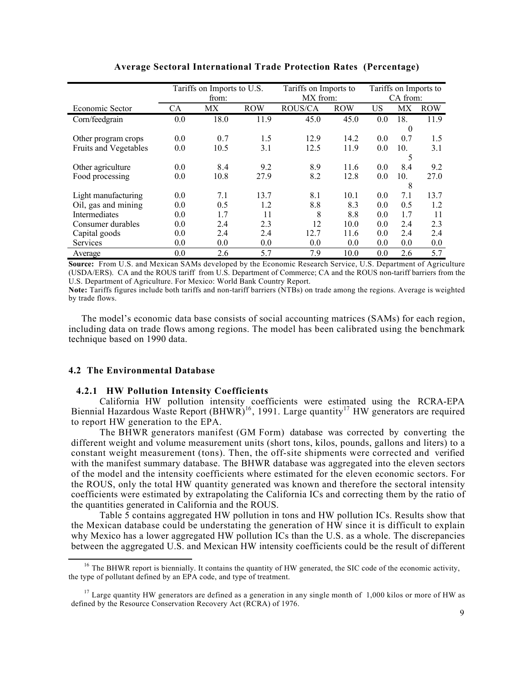|                       |           | Tariffs on Imports to U.S. |            | Tariffs on Imports to |            | Tariffs on Imports to |          |            |  |
|-----------------------|-----------|----------------------------|------------|-----------------------|------------|-----------------------|----------|------------|--|
|                       |           | from:                      |            | MX from:              |            |                       | CA from: |            |  |
| Economic Sector       | <b>CA</b> | МX                         | <b>ROW</b> | <b>ROUS/CA</b>        | <b>ROW</b> | US                    | МX       | <b>ROW</b> |  |
| Corn/feedgrain        | 0.0       | 18.0                       | 11.9       | 45.0                  | 45.0       | 0.0                   | 18.      | 11.9       |  |
|                       |           |                            |            |                       |            |                       | $\bf{0}$ |            |  |
| Other program crops   | 0.0       | 0.7                        | 1.5        | 12.9                  | 14.2       | 0.0                   | 0.7      | 1.5        |  |
| Fruits and Vegetables | 0.0       | 10.5                       | 3.1        | 12.5                  | 11.9       | 0.0                   | 10.      | 3.1        |  |
|                       |           |                            |            |                       |            |                       | 5        |            |  |
| Other agriculture     | 0.0       | 8.4                        | 9.2        | 8.9                   | 11.6       | 0.0                   | 8.4      | 9.2        |  |
| Food processing       | 0.0       | 10.8                       | 27.9       | 8.2                   | 12.8       | 0.0                   | 10.      | 27.0       |  |
|                       |           |                            |            |                       |            |                       | 8        |            |  |
| Light manufacturing   | 0.0       | 7.1                        | 13.7       | 8.1                   | 10.1       | 0.0                   | 7.1      | 13.7       |  |
| Oil, gas and mining   | 0.0       | 0.5                        | 1.2        | 8.8                   | 8.3        | 0.0                   | 0.5      | 1.2        |  |
| <b>Intermediates</b>  | 0.0       | 1.7                        | 11         | 8                     | 8.8        | 0.0                   | 1.7      | 11         |  |
| Consumer durables     | 0.0       | 2.4                        | 2.3        | 12                    | 10.0       | 0.0                   | 2.4      | 2.3        |  |
| Capital goods         | 0.0       | 2.4                        | 2.4        | 12.7                  | 11.6       | 0.0                   | 2.4      | 2.4        |  |
| <b>Services</b>       | 0.0       | 0.0                        | 0.0        | 0.0                   | 0.0        | 0.0                   | 0.0      | 0.0        |  |
| Average               | 0.0       | 2.6                        | 5.7        | 7.9                   | 10.0       | 0.0                   | 2.6      | 5.7        |  |

**Average Sectoral International Trade Protection Rates (Percentage)**

**Source:** From U.S. and Mexican SAMs developed by the Economic Research Service, U.S. Department of Agriculture (USDA/ERS). CA and the ROUS tariff from U.S. Department of Commerce; CA and the ROUS non-tariff barriers from the U.S. Department of Agriculture. For Mexico: World Bank Country Report.

**Note:** Tariffs figures include both tariffs and non-tariff barriers (NTBs) on trade among the regions. Average is weighted by trade flows.

 The model's economic data base consists of social accounting matrices (SAMs) for each region, including data on trade flows among regions. The model has been calibrated using the benchmark technique based on 1990 data.

### **4.2 The Environmental Database**

 $\overline{a}$ 

#### **4.2.1 HW Pollution Intensity Coefficients**

California HW pollution intensity coefficients were estimated using the RCRA-EPA Biennial Hazardous Waste Report  $(BHWR)^{16}$ , 1991. Large quantity<sup>17</sup> HW generators are required to report HW generation to the EPA.

The BHWR generators manifest (GM Form) database was corrected by converting the different weight and volume measurement units (short tons, kilos, pounds, gallons and liters) to a constant weight measurement (tons). Then, the off-site shipments were corrected and verified with the manifest summary database. The BHWR database was aggregated into the eleven sectors of the model and the intensity coefficients where estimated for the eleven economic sectors. For the ROUS, only the total HW quantity generated was known and therefore the sectoral intensity coefficients were estimated by extrapolating the California ICs and correcting them by the ratio of the quantities generated in California and the ROUS.

Table 5 contains aggregated HW pollution in tons and HW pollution ICs. Results show that the Mexican database could be understating the generation of HW since it is difficult to explain why Mexico has a lower aggregated HW pollution ICs than the U.S. as a whole. The discrepancies between the aggregated U.S. and Mexican HW intensity coefficients could be the result of different

<sup>&</sup>lt;sup>16</sup> The BHWR report is biennially. It contains the quantity of HW generated, the SIC code of the economic activity, the type of pollutant defined by an EPA code, and type of treatment.

 $17$  Large quantity HW generators are defined as a generation in any single month of 1,000 kilos or more of HW as defined by the Resource Conservation Recovery Act (RCRA) of 1976.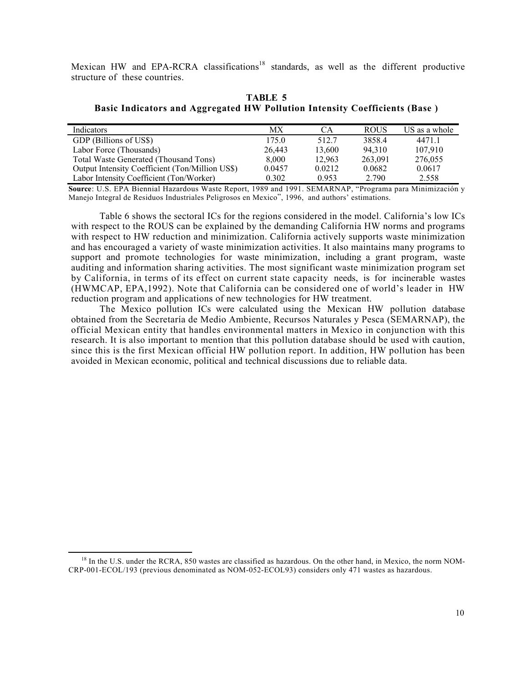Mexican HW and EPA-RCRA classifications<sup>18</sup> standards, as well as the different productive structure of these countries.

**TABLE 5 Basic Indicators and Aggregated HW Pollution Intensity Coefficients (Base )**

| Indicators                                      | МX     | CА     | <b>ROUS</b> | US as a whole |
|-------------------------------------------------|--------|--------|-------------|---------------|
| GDP (Billions of US\$)                          | 175.0  | 512.7  | 3858.4      | 4471.1        |
| Labor Force (Thousands)                         | 26.443 | 13,600 | 94.310      | 107.910       |
| Total Waste Generated (Thousand Tons)           | 8.000  | 12.963 | 263,091     | 276,055       |
| Output Intensity Coefficient (Ton/Million US\$) | 0.0457 | 0.0212 | 0.0682      | 0.0617        |
| Labor Intensity Coefficient (Ton/Worker)        | 0.302  | 0.953  | 2 790       | 2.558         |

**Source**: U.S. EPA Biennial Hazardous Waste Report, 1989 and 1991. SEMARNAP, "Programa para Minimización y Manejo Integral de Residuos Industriales Peligrosos en Mexico", 1996, and authors' estimations.

Table 6 shows the sectoral ICs for the regions considered in the model. California's low ICs with respect to the ROUS can be explained by the demanding California HW norms and programs with respect to HW reduction and minimization. California actively supports waste minimization and has encouraged a variety of waste minimization activities. It also maintains many programs to support and promote technologies for waste minimization, including a grant program, waste auditing and information sharing activities. The most significant waste minimization program set by California, in terms of its effect on current state capacity needs, is for incinerable wastes (HWMCAP, EPA,1992). Note that California can be considered one of world's leader in HW reduction program and applications of new technologies for HW treatment.

The Mexico pollution ICs were calculated using the Mexican HW pollution database obtained from the Secretaría de Medio Ambiente, Recursos Naturales y Pesca (SEMARNAP), the official Mexican entity that handles environmental matters in Mexico in conjunction with this research. It is also important to mention that this pollution database should be used with caution, since this is the first Mexican official HW pollution report. In addition, HW pollution has been avoided in Mexican economic, political and technical discussions due to reliable data.

 $\overline{\phantom{a}}$ 

<sup>&</sup>lt;sup>18</sup> In the U.S. under the RCRA, 850 wastes are classified as hazardous. On the other hand, in Mexico, the norm NOM-CRP-001-ECOL/193 (previous denominated as NOM-052-ECOL93) considers only 471 wastes as hazardous.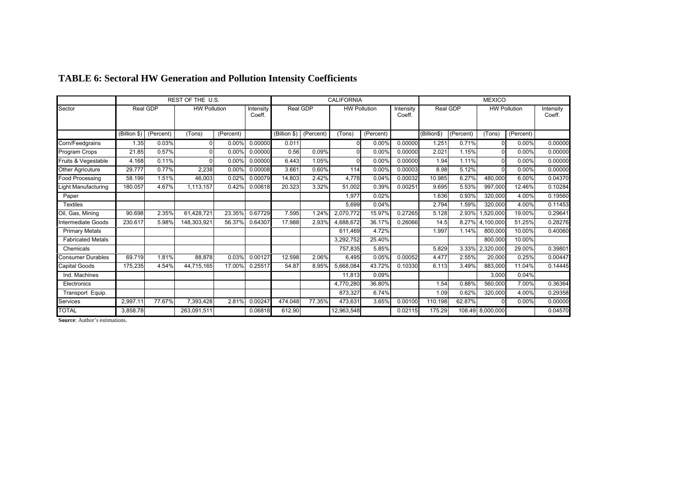|                          |              |           | REST OF THE U.S.    |           |                     |                                                                                           |        | <b>CALIFORNIA</b> |           |                     | <b>MEXICO</b> |           |                  |           |         |
|--------------------------|--------------|-----------|---------------------|-----------|---------------------|-------------------------------------------------------------------------------------------|--------|-------------------|-----------|---------------------|---------------|-----------|------------------|-----------|---------|
| Sector                   |              | Real GDP  | <b>HW Pollution</b> |           | Intensity<br>Coeff. | Real GDP<br>Real GDP<br><b>HW Pollution</b><br><b>HW Pollution</b><br>Intensity<br>Coeff. |        |                   |           | Intensity<br>Coeff. |               |           |                  |           |         |
|                          | (Billion \$) | (Percent) | (Tons)              | (Percent) |                     | (Billion \$) (Percent)                                                                    |        | (Tons)            | (Percent) |                     | (Billion\$)   | (Percent) | (Tons)           | (Percent) |         |
| Corn/Feedgrains          | 1.35         | 0.03%     | $\Omega$            | 0.00%     | 0.00000             | 0.011                                                                                     |        | 0                 | 0.00%     | 0.00000             | 1.251         | 0.71%     | $\Omega$         | 0.00%     | 0.00000 |
| Program Crops            | 21.85        | 0.57%     | $\Omega$            | 0.00%     | 0.00000             | 0.56                                                                                      | 0.09%  | ΩI                | 0.00%     | 0.00000             | 2.021         | 1.15%     | $\Omega$         | 0.00%     | 0.00000 |
| Fruits & Vegestable      | 4.168        | 0.11%     | $\Omega$            | 0.00%     | 0.00000             | 6.443                                                                                     | 1.05%  | n                 | 0.00%     | 0.00000             | 1.94          | 1.11%     | $\Omega$         | 0.00%     | 0.00000 |
| Other Agricuture         | 29.777       | 0.77%     | 2,238               | 0.00%     | 0.00008             | 3.661                                                                                     | 0.60%  | 114               | 0.00%     | 0.00003             | 8.98          | 5.12%     | $\Omega$         | 0.00%     | 0.00000 |
| <b>Food Processing</b>   | 58.199       | 1.51%     | 46,003              | 0.02%     | 0.00079             | 14.803                                                                                    | 2.42%  | 4,778             | 0.04%     | 0.00032             | 10.985        | 6.27%     | 480,000          | 6.00%     | 0.04370 |
| Light Manufacturing      | 180.057      | 4.67%     | 1,113,157           | 0.42%     | 0.00618             | 20.323                                                                                    | 3.32%  | 51,002            | 0.39%     | 0.00251             | 9.695         | 5.53%     | 997,000          | 12.46%    | 0.10284 |
| Paper                    |              |           |                     |           |                     |                                                                                           |        | 1,977             | 0.02%     |                     | 1.636         | 0.93%     | 320,000          | 4.00%     | 0.19560 |
| <b>Textiles</b>          |              |           |                     |           |                     |                                                                                           |        | 5,699             | 0.04%     |                     | 2.794         | 1.59%     | 320,000          | 4.00%     | 0.11453 |
| Oil, Gas, Mining         | 90.698       | 2.35%     | 61,428,721          | 23.35%    | 0.67729             | 7.595                                                                                     | 1.24%  | 2,070,772         | 15.97%    | 0.27265             | 5.128         | 2.93%     | 1,520,000        | 19.00%    | 0.29641 |
| Intermediate Goods       | 230.617      | 5.98%     | 148,303,921         | 56.37%    | 0.64307             | 17.988                                                                                    | 2.93%  | 4,688,672         | 36.17%    | 0.26066             | 14.5          | 8.27%     | 4,100,000        | 51.25%    | 0.28276 |
| <b>Primary Metals</b>    |              |           |                     |           |                     |                                                                                           |        | 611,469           | 4.72%     |                     | 1.997         | 1.14%     | 800.000          | 10.00%    | 0.40060 |
| <b>Fabricated Metals</b> |              |           |                     |           |                     |                                                                                           |        | 3,292,752         | 25.40%    |                     |               |           | 800,000          | 10.00%    |         |
| Chemicals                |              |           |                     |           |                     |                                                                                           |        | 757,835           | 5.85%     |                     | 5.829         | 3.33%     | 2,320,000        | 29.00%    | 0.39801 |
| <b>Consumer Durables</b> | 69.719       | 1.81%     | 88,878              | 0.03%     | 0.00127             | 12.598                                                                                    | 2.06%  | 6,495             | 0.05%     | 0.00052             | 4.477         | 2.55%     | 20,000           | $0.25\%$  | 0.00447 |
| Capital Goods            | 175.235      | 4.54%     | 44,715,165          | 17.00%    | 0.25517             | 54.87                                                                                     | 8.95%  | 5,668,084         | 43.72%    | 0.10330             | 6.113         | 3.49%     | 883,000          | 11.04%    | 0.14445 |
| Ind. Machines            |              |           |                     |           |                     |                                                                                           |        | 11,813            | 0.09%     |                     |               |           | 3,000            | 0.04%     |         |
| Electronics              |              |           |                     |           |                     |                                                                                           |        | 4,770,280         | 36.80%    |                     | 1.54          | 0.88%     | 560.000          | 7.00%     | 0.36364 |
| Transport Equip.         |              |           |                     |           |                     |                                                                                           |        | 873.327           | 6.74%     |                     | 1.09          | 0.62%     | 320.000          | 4.00%     | 0.29358 |
| <b>Services</b>          | 2,997.11     | 77.67%    | 7,393,428           | 2.81%     | 0.00247             | 474.048                                                                                   | 77.35% | 473,631           | 3.65%     | 0.00100             | 110.198       | 62.87%    |                  | 0.00%     | 0.00000 |
| <b>TOTAL</b>             | 3.858.78     |           | 263,091,511         |           | 0.06818             | 612.90                                                                                    |        | 12,963,548        |           | 0.02115             | 175.29        |           | 108.49 8,000,000 |           | 0.04570 |

# **TABLE 6: Sectoral HW Generation and Pollution Intensity Coefficients**

**Source**: Author's estimations.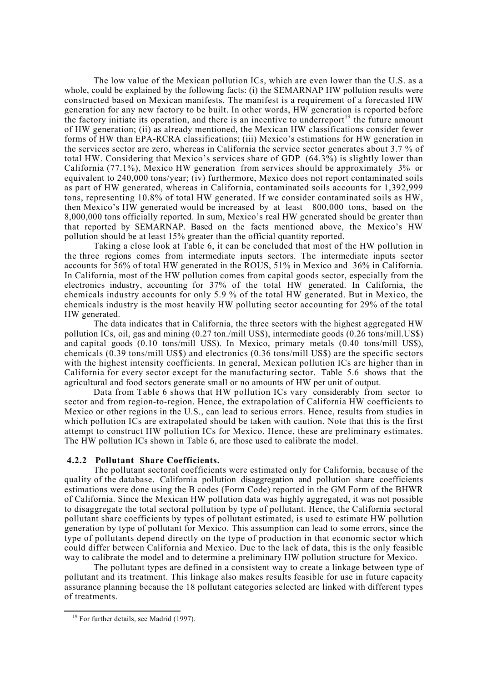The low value of the Mexican pollution ICs, which are even lower than the U.S. as a whole, could be explained by the following facts: (i) the SEMARNAP HW pollution results were constructed based on Mexican manifests. The manifest is a requirement of a forecasted HW generation for any new factory to be built. In other words, HW generation is reported before the factory initiate its operation, and there is an incentive to underreport<sup>19</sup> the future amount of HW generation; (ii) as already mentioned, the Mexican HW classifications consider fewer forms of HW than EPA-RCRA classifications; (iii) Mexico's estimations for HW generation in the services sector are zero, whereas in California the service sector generates about 3.7 % of total HW. Considering that Mexico's services share of GDP  $(64.3\%)$  is slightly lower than California (77.1%), Mexico HW generation from services should be approximately 3% or equivalent to 240,000 tons/year; (iv) furthermore, Mexico does not report contaminated soils as part of HW generated, whereas in California, contaminated soils accounts for 1,392,999 tons, representing 10.8% of total HW generated. If we consider contaminated soils as HW, then Mexico's HW generated would be increased by at least 800,000 tons, based on the 8,000,000 tons officially reported. In sum, Mexico's real HW generated should be greater than that reported by SEMARNAP. Based on the facts mentioned above, the Mexico's HW pollution should be at least 15% greater than the official quantity reported.

Taking a close look at Table 6, it can be concluded that most of the HW pollution in the three regions comes from intermediate inputs sectors. The intermediate inputs sector accounts for 56% of total HW generated in the ROUS, 51% in Mexico and 36% in California. In California, most of the HW pollution comes from capital goods sector, especially from the electronics industry, accounting for 37% of the total HW generated. In California, the chemicals industry accounts for only 5.9 % of the total HW generated. But in Mexico, the chemicals industry is the most heavily HW polluting sector accounting for 29% of the total HW generated.

The data indicates that in California, the three sectors with the highest aggregated HW pollution ICs, oil, gas and mining (0.27 ton./mill US\$), intermediate goods (0.26 tons/mill.US\$) and capital goods (0.10 tons/mill US\$). In Mexico, primary metals (0.40 tons/mill US\$), chemicals (0.39 tons/mill US\$) and electronics (0.36 tons/mill US\$) are the specific sectors with the highest intensity coefficients. In general, Mexican pollution ICs are higher than in California for every sector except for the manufacturing sector. Table 5.6 shows that the agricultural and food sectors generate small or no amounts of HW per unit of output.

Data from Table 6 shows that HW pollution ICs vary considerably from sector to sector and from region-to-region. Hence, the extrapolation of California HW coefficients to Mexico or other regions in the U.S., can lead to serious errors. Hence, results from studies in which pollution ICs are extrapolated should be taken with caution. Note that this is the first attempt to construct HW pollution ICs for Mexico. Hence, these are preliminary estimates. The HW pollution ICs shown in Table 6, are those used to calibrate the model.

#### **4.2.2 Pollutant Share Coefficients.**

The pollutant sectoral coefficients were estimated only for California, because of the quality of the database. California pollution disaggregation and pollution share coefficients estimations were done using the B codes (Form Code) reported in the GM Form of the BHWR of California. Since the Mexican HW pollution data was highly aggregated, it was not possible to disaggregate the total sectoral pollution by type of pollutant. Hence, the California sectoral pollutant share coefficients by types of pollutant estimated, is used to estimate HW pollution generation by type of pollutant for Mexico. This assumption can lead to some errors, since the type of pollutants depend directly on the type of production in that economic sector which could differ between California and Mexico. Due to the lack of data, this is the only feasible way to calibrate the model and to determine a preliminary HW pollution structure for Mexico.

The pollutant types are defined in a consistent way to create a linkage between type of pollutant and its treatment. This linkage also makes results feasible for use in future capacity assurance planning because the 18 pollutant categories selected are linked with different types of treatments.

 $\overline{\phantom{a}}$ 

<sup>&</sup>lt;sup>19</sup> For further details, see Madrid (1997).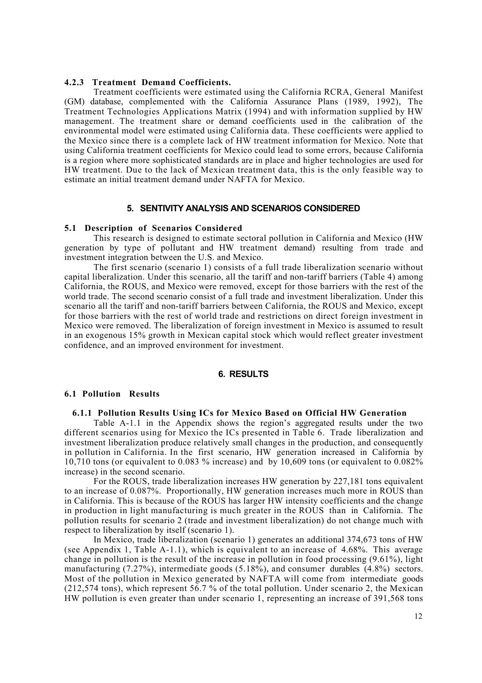#### **4.2.3 Treatment Demand Coefficients.**

Treatment coefficients were estimated using the California RCRA, General Manifest (GM) database, complemented with the California Assurance Plans (1989, 1992), The Treatment Technologies Applications Matrix (1994) and with information supplied by HW management. The treatment share or demand coefficients used in the calibration of the environmental model were estimated using California data. These coefficients were applied to the Mexico since there is a complete lack of HW treatment information for Mexico. Note that using California treatment coefficients for Mexico could lead to some errors, because California is a region where more sophisticated standards are in place and higher technologies are used for HW treatment. Due to the lack of Mexican treatment data, this is the only feasible way to estimate an initial treatment demand under NAFTA for Mexico.

### **5. SENTIVITY ANALYSIS AND SCENARIOS CONSIDERED**

# **5.1 Description of Scenarios Considered**

This research is designed to estimate sectoral pollution in California and Mexico (HW generation by type of pollutant and HW treatment demand) resulting from trade and investment integration between the U.S. and Mexico.

The first scenario (scenario 1) consists of a full trade liberalization scenario without capital liberalization. Under this scenario, all the tariff and non-tariff barriers (Table 4) among California, the ROUS, and Mexico were removed, except for those barriers with the rest of the world trade. The second scenario consist of a full trade and investment liberalization. Under this scenario all the tariff and non-tariff barriers between California, the ROUS and Mexico, except for those barriers with the rest of world trade and restrictions on direct foreign investment in Mexico were removed. The liberalization of foreign investment in Mexico is assumed to result in an exogenous 15% growth in Mexican capital stock which would reflect greater investment confidence, and an improved environment for investment.

#### **6. RESULTS**

#### **6.1 Pollution Results**

## **6.1.1 Pollution Results Using ICs for Mexico Based on Official HW Generation**

Table A-1.1 in the Appendix shows the region's aggregated results under the two different scenarios using for Mexico the ICs presented in Table 6. Trade liberalization and investment liberalization produce relatively small changes in the production, and consequently in pollution in California. In the first scenario, HW generation increased in California by 10,710 tons (or equivalent to 0.083 % increase) and by 10,609 tons (or equivalent to 0.082% increase) in the second scenario.

For the ROUS, trade liberalization increases HW generation by 227,181 tons equivalent to an increase of 0.087%. Proportionally, HW generation increases much more in ROUS than in California. This is because of the ROUS has larger HW intensity coefficients and the change in production in light manufacturing is much greater in the ROUS than in California. The pollution results for scenario 2 (trade and investment liberalization) do not change much with respect to liberalization by itself (scenario 1).

In Mexico, trade liberalization (scenario 1) generates an additional 374,673 tons of HW (see Appendix 1, Table A-1.1), which is equivalent to an increase of 4.68%. This average change in pollution is the result of the increase in pollution in food processing (9.61%), light manufacturing (7.27%), intermediate goods (5.18%), and consumer durables (4.8%) sectors. Most of the pollution in Mexico generated by NAFTA will come from intermediate goods (212,574 tons), which represent 56.7 % of the total pollution. Under scenario 2, the Mexican HW pollution is even greater than under scenario 1, representing an increase of 391,568 tons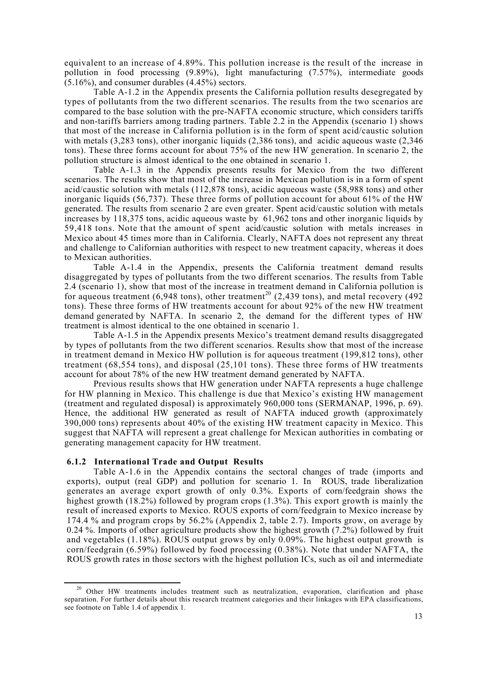equivalent to an increase of 4.89%. This pollution increase is the result of the increase in pollution in food processing (9.89%), light manufacturing (7.57%), intermediate goods  $(5.16\%)$ , and consumer durables  $(4.45\%)$  sectors.

Table A-1.2 in the Appendix presents the California pollution results desegregated by types of pollutants from the two different scenarios. The results from the two scenarios are compared to the base solution with the pre-NAFTA economic structure, which considers tariffs and non-tariffs barriers among trading partners. Table 2.2 in the Appendix (scenario 1) shows that most of the increase in California pollution is in the form of spent acid/caustic solution with metals (3,283 tons), other inorganic liquids (2,386 tons), and acidic aqueous waste (2,346 tons). These three forms account for about 75% of the new HW generation. In scenario 2, the pollution structure is almost identical to the one obtained in scenario 1.

Table A-1.3 in the Appendix presents results for Mexico from the two different scenarios. The results show that most of the increase in Mexican pollution is in a form of spent acid/caustic solution with metals (112,878 tons), acidic aqueous waste (58,988 tons) and other inorganic liquids (56,737). These three forms of pollution account for about 61% of the HW generated. The results from scenario 2 are even greater. Spent acid/caustic solution with metals increases by 118,375 tons, acidic aqueous waste by 61,962 tons and other inorganic liquids by 59,418 tons. Note that the amount of spent acid/caustic solution with metals increases in Mexico about 45 times more than in California. Clearly, NAFTA does not represent any threat and challenge to Californian authorities with respect to new treatment capacity, whereas it does to Mexican authorities.

Table A-1.4 in the Appendix, presents the California treatment demand results disaggregated by types of pollutants from the two different scenarios. The results from Table 2.4 (scenario 1), show that most of the increase in treatment demand in California pollution is for aqueous treatment  $(6,948 \text{ tons})$ , other treatment<sup>20</sup>  $(2,439 \text{ tons})$ , and metal recovery  $(492 \text{ rad})$ tons). These three forms of HW treatments account for about 92% of the new HW treatment demand generated by NAFTA. In scenario 2, the demand for the different types of HW treatment is almost identical to the one obtained in scenario 1.

Table A-1.5 in the Appendix presents Mexico's treatment demand results disaggregated by types of pollutants from the two different scenarios. Results show that most of the increase in treatment demand in Mexico HW pollution is for aqueous treatment (199,812 tons), other treatment (68,554 tons), and disposal (25,101 tons). These three forms of HW treatments account for about 78% of the new HW treatment demand generated by NAFTA.

Previous results shows that HW generation under NAFTA represents a huge challenge for HW planning in Mexico. This challenge is due that Mexico's existing HW management (treatment and regulated disposal) is approximately 960,000 tons (SERMANAP, 1996, p. 69). Hence, the additional HW generated as result of NAFTA induced growth (approximately 390,000 tons) represents about 40% of the existing HW treatment capacity in Mexico. This suggest that NAFTA will represent a great challenge for Mexican authorities in combating or generating management capacity for HW treatment.

#### **6.1.2 International Trade and Output Results**

l

Table A-1.6 in the Appendix contains the sectoral changes of trade (imports and exports), output (real GDP) and pollution for scenario 1. In ROUS, trade liberalization generates an average export growth of only 0.3%. Exports of corn/feedgrain shows the highest growth (18.2%) followed by program crops (1.3%). This export growth is mainly the result of increased exports to Mexico. ROUS exports of corn/feedgrain to Mexico increase by 174.4 % and program crops by 56.2% (Appendix 2, table 2.7). Imports grow, on average by 0.24 %. Imports of other agriculture products show the highest growth (7.2%) followed by fruit and vegetables (1.18%). ROUS output grows by only 0.09%. The highest output growth is corn/feedgrain (6.59%) followed by food processing (0.38%). Note that under NAFTA, the ROUS growth rates in those sectors with the highest pollution ICs, such as oil and intermediate

<sup>&</sup>lt;sup>20</sup> Other HW treatments includes treatment such as neutralization, evaporation, clarification and phase separation. For further details about this research treatment categories and their linkages with EPA classifications, see footnote on Table 1.4 of appendix 1.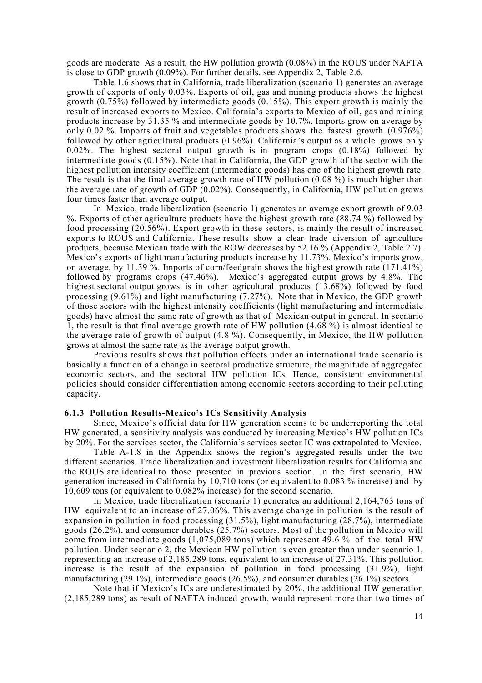goods are moderate. As a result, the HW pollution growth (0.08%) in the ROUS under NAFTA is close to GDP growth (0.09%). For further details, see Appendix 2, Table 2.6.

Table 1.6 shows that in California, trade liberalization (scenario 1) generates an average growth of exports of only 0.03%. Exports of oil, gas and mining products shows the highest growth  $(0.75\%)$  followed by intermediate goods  $(0.15\%)$ . This export growth is mainly the result of increased exports to Mexico. California's exports to Mexico of oil, gas and mining products increase by 31.35 % and intermediate goods by 10.7%. Imports grow on average by only 0.02 %. Imports of fruit and vegetables products shows the fastest growth (0.976%) followed by other agricultural products (0.96%). California's output as a whole grows only 0.02%. The highest sectoral output growth is in program crops (0.18%) followed by intermediate goods (0.15%). Note that in California, the GDP growth of the sector with the highest pollution intensity coefficient (intermediate goods) has one of the highest growth rate. The result is that the final average growth rate of HW pollution (0.08 %) is much higher than the average rate of growth of GDP (0.02%). Consequently, in California, HW pollution grows four times faster than average output.

In Mexico, trade liberalization (scenario 1) generates an average export growth of 9.03 %. Exports of other agriculture products have the highest growth rate (88.74 %) followed by food processing (20.56%). Export growth in these sectors, is mainly the result of increased exports to ROUS and California. These results show a clear trade diversion of agriculture products, because Mexican trade with the ROW decreases by 52.16 % (Appendix 2, Table 2.7). Mexico's exports of light manufacturing products increase by 11.73%. Mexico's imports grow, on average, by 11.39 %. Imports of corn/feedgrain shows the highest growth rate (171.41%) followed by programs crops (47.46%). Mexico's aggregated output grows by 4.8%. The highest sectoral output grows is in other agricultural products  $(13.68%)$  followed by food processing (9.61%) and light manufacturing (7.27%). Note that in Mexico, the GDP growth of those sectors with the highest intensity coefficients (light manufacturing and intermediate goods) have almost the same rate of growth as that of Mexican output in general. In scenario 1, the result is that final average growth rate of HW pollution (4.68 %) is almost identical to the average rate of growth of output (4.8 %). Consequently, in Mexico, the HW pollution grows at almost the same rate as the average output growth.

Previous results shows that pollution effects under an international trade scenario is basically a function of a change in sectoral productive structure, the magnitude of aggregated economic sectors, and the sectoral HW pollution ICs. Hence, consistent environmental policies should consider differentiation among economic sectors according to their polluting capacity.

### **6.1.3 Pollution Results-Mexico's ICs Sensitivity Analysis**

Since, Mexico's official data for HW generation seems to be underreporting the total HW generated, a sensitivity analysis was conducted by increasing Mexico's HW pollution ICs by 20%. For the services sector, the California's services sector IC was extrapolated to Mexico.

Table A-1.8 in the Appendix shows the region's aggregated results under the two different scenarios. Trade liberalization and investment liberalization results for California and the ROUS are identical to those presented in previous section. In the first scenario, HW generation increased in California by 10,710 tons (or equivalent to 0.083 % increase) and by 10,609 tons (or equivalent to 0.082% increase) for the second scenario.

In Mexico, trade liberalization (scenario 1) generates an additional 2,164,763 tons of HW equivalent to an increase of 27.06%. This average change in pollution is the result of expansion in pollution in food processing (31.5%), light manufacturing (28.7%), intermediate goods (26.2%), and consumer durables (25.7%) sectors. Most of the pollution in Mexico will come from intermediate goods (1,075,089 tons) which represent 49.6 % of the total HW pollution. Under scenario 2, the Mexican HW pollution is even greater than under scenario 1, representing an increase of 2,185,289 tons, equivalent to an increase of 27.31%. This pollution increase is the result of the expansion of pollution in food processing (31.9%), light manufacturing (29.1%), intermediate goods (26.5%), and consumer durables (26.1%) sectors.

Note that if Mexico's ICs are underestimated by 20%, the additional HW generation (2,185,289 tons) as result of NAFTA induced growth, would represent more than two times of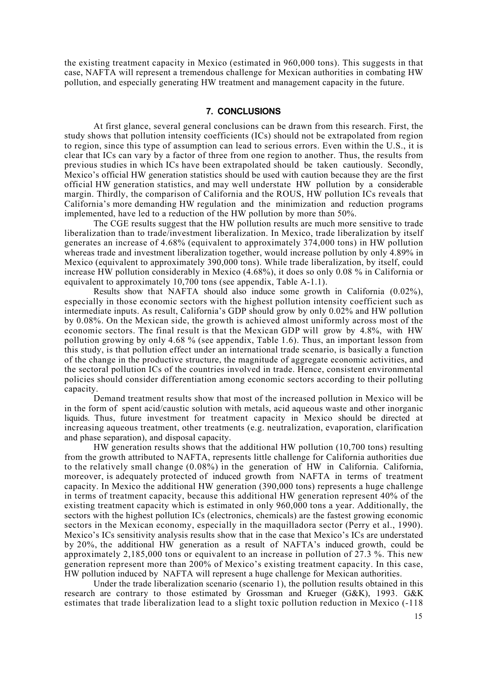the existing treatment capacity in Mexico (estimated in 960,000 tons). This suggests in that case, NAFTA will represent a tremendous challenge for Mexican authorities in combating HW pollution, and especially generating HW treatment and management capacity in the future.

# **7. CONCLUSIONS**

At first glance, several general conclusions can be drawn from this research. First, the study shows that pollution intensity coefficients (ICs) should not be extrapolated from region to region, since this type of assumption can lead to serious errors. Even within the U.S., it is clear that ICs can vary by a factor of three from one region to another. Thus, the results from previous studies in which ICs have been extrapolated should be taken cautiously. Secondly, Mexico's official HW generation statistics should be used with caution because they are the first official HW generation statistics, and may well understate HW pollution by a considerable margin. Thirdly, the comparison of California and the ROUS, HW pollution ICs reveals that California's more demanding HW regulation and the minimization and reduction programs implemented, have led to a reduction of the HW pollution by more than 50%.

The CGE results suggest that the HW pollution results are much more sensitive to trade liberalization than to trade/investment liberalization. In Mexico, trade liberalization by itself generates an increase of 4.68% (equivalent to approximately 374,000 tons) in HW pollution whereas trade and investment liberalization together, would increase pollution by only 4.89% in Mexico (equivalent to approximately 390,000 tons). While trade liberalization, by itself, could increase HW pollution considerably in Mexico (4.68%), it does so only 0.08 % in California or equivalent to approximately 10,700 tons (see appendix, Table A-1.1).

Results show that NAFTA should also induce some growth in California (0.02%), especially in those economic sectors with the highest pollution intensity coefficient such as intermediate inputs. As result, California's GDP should grow by only 0.02% and HW pollution by 0.08%. On the Mexican side, the growth is achieved almost uniformly across most of the economic sectors. The final result is that the Mexican GDP will grow by 4.8%, with HW pollution growing by only 4.68 % (see appendix, Table 1.6). Thus, an important lesson from this study, is that pollution effect under an international trade scenario, is basically a function of the change in the productive structure, the magnitude of aggregate economic activities, and the sectoral pollution ICs of the countries involved in trade. Hence, consistent environmental policies should consider differentiation among economic sectors according to their polluting capacity.

Demand treatment results show that most of the increased pollution in Mexico will be in the form of spent acid/caustic solution with metals, acid aqueous waste and other inorganic liquids. Thus, future investment for treatment capacity in Mexico should be directed at increasing aqueous treatment, other treatments (e.g. neutralization, evaporation, clarification and phase separation), and disposal capacity.

HW generation results shows that the additional HW pollution (10,700 tons) resulting from the growth attributed to NAFTA, represents little challenge for California authorities due to the relatively small change (0.08%) in the generation of HW in California. California, moreover, is adequately protected of induced growth from NAFTA in terms of treatment capacity. In Mexico the additional HW generation (390,000 tons) represents a huge challenge in terms of treatment capacity, because this additional HW generation represent 40% of the existing treatment capacity which is estimated in only 960,000 tons a year. Additionally, the sectors with the highest pollution ICs (electronics, chemicals) are the fastest growing economic sectors in the Mexican economy, especially in the maquilladora sector (Perry et al., 1990). Mexico's ICs sensitivity analysis results show that in the case that Mexico's ICs are understated by 20%, the additional HW generation as a result of NAFTA's induced growth, could be approximately 2,185,000 tons or equivalent to an increase in pollution of 27.3 %. This new generation represent more than 200% of Mexico's existing treatment capacity. In this case, HW pollution induced by NAFTA will represent a huge challenge for Mexican authorities.

Under the trade liberalization scenario (scenario 1), the pollution results obtained in this research are contrary to those estimated by Grossman and Krueger (G&K), 1993. G&K estimates that trade liberalization lead to a slight toxic pollution reduction in Mexico (-118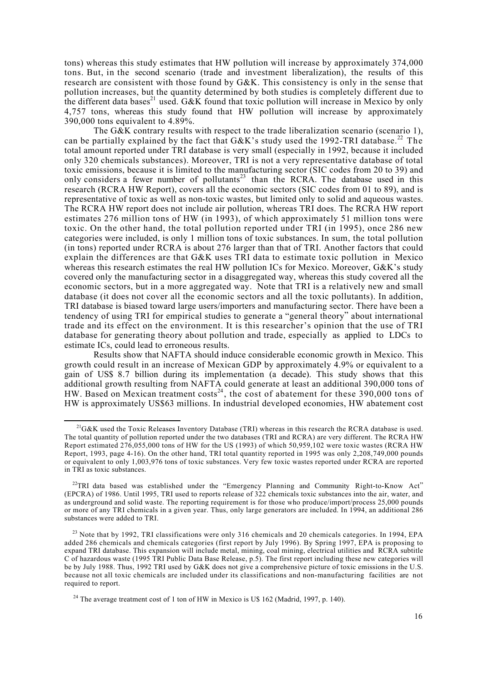tons) whereas this study estimates that HW pollution will increase by approximately 374,000 tons. But, in the second scenario (trade and investment liberalization), the results of this research are consistent with those found by G&K. This consistency is only in the sense that pollution increases, but the quantity determined by both studies is completely different due to the different data bases<sup>21</sup> used. G&K found that toxic pollution will increase in Mexico by only 4,757 tons, whereas this study found that HW pollution will increase by approximately 390,000 tons equivalent to 4.89%.

The G&K contrary results with respect to the trade liberalization scenario (scenario 1), can be partially explained by the fact that  $G\&K$ 's study used the 1992-TRI database.<sup>22</sup> The total amount reported under TRI database is very small (especially in 1992, because it included only 320 chemicals substances). Moreover, TRI is not a very representative database of total toxic emissions, because it is limited to the manufacturing sector (SIC codes from 20 to 39) and only considers a fewer number of pollutants<sup>23</sup> than the RCRA. The database used in this research (RCRA HW Report), covers all the economic sectors (SIC codes from 01 to 89), and is representative of toxic as well as non-toxic wastes, but limited only to solid and aqueous wastes. The RCRA HW report does not include air pollution, whereas TRI does. The RCRA HW report estimates 276 million tons of HW (in 1993), of which approximately 51 million tons were toxic. On the other hand, the total pollution reported under TRI (in 1995), once 286 new categories were included, is only 1 million tons of toxic substances. In sum, the total pollution (in tons) reported under RCRA is about 276 larger than that of TRI. Another factors that could explain the differences are that G&K uses TRI data to estimate toxic pollution in Mexico whereas this research estimates the real HW pollution ICs for Mexico. Moreover, G&K's study covered only the manufacturing sector in a disaggregated way, whereas this study covered all the economic sectors, but in a more aggregated way. Note that TRI is a relatively new and small database (it does not cover all the economic sectors and all the toxic pollutants). In addition, TRI database is biased toward large users/importers and manufacturing sector. There have been a tendency of using TRI for empirical studies to generate a "general theory" about international trade and its effect on the environment. It is this researcher's opinion that the use of TRI database for generating theory about pollution and trade, especially as applied to LDCs to estimate ICs, could lead to erroneous results.

Results show that NAFTA should induce considerable economic growth in Mexico. This growth could result in an increase of Mexican GDP by approximately 4.9% or equivalent to a gain of US\$ 8.7 billion during its implementation (a decade). This study shows that this additional growth resulting from NAFTA could generate at least an additional 390,000 tons of HW. Based on Mexican treatment costs<sup>24</sup>, the cost of abatement for these 390,000 tons of HW is approximately US\$63 millions. In industrial developed economies, HW abatement cost

 $\overline{a}$ 

 $^{21}$ G&K used the Toxic Releases Inventory Database (TRI) whereas in this research the RCRA database is used. The total quantity of pollution reported under the two databases (TRI and RCRA) are very different. The RCRA HW Report estimated 276,055,000 tons of HW for the US (1993) of which 50,959,102 were toxic wastes (RCRA HW Report, 1993, page 4-16). On the other hand, TRI total quantity reported in 1995 was only 2,208,749,000 pounds or equivalent to only 1,003,976 tons of toxic substances. Very few toxic wastes reported under RCRA are reported in TRI as toxic substances.

<sup>&</sup>lt;sup>22</sup>TRI data based was established under the "Emergency Planning and Community Right-to-Know Act" (EPCRA) of 1986. Until 1995, TRI used to reports release of 322 chemicals toxic substances into the air, water, and as underground and solid waste. The reporting requirement is for those who produce/import/process 25,000 pounds or more of any TRI chemicals in a given year. Thus, only large generators are included. In 1994, an additional 286 substances were added to TRI.

 $23$  Note that by 1992, TRI classifications were only 316 chemicals and 20 chemicals categories. In 1994, EPA added 286 chemicals and chemicals categories (first report by July 1996). By Spring 1997, EPA is proposing to expand TRI database. This expansion will include metal, mining, coal mining, electrical utilities and RCRA subtitle C of hazardous waste (1995 TRI Public Data Base Release, p.5). The first report including these new categories will be by July 1988. Thus, 1992 TRI used by G&K does not give a comprehensive picture of toxic emissions in the U.S. because not all toxic chemicals are included under its classifications and non-manufacturing facilities are not required to report.

<sup>&</sup>lt;sup>24</sup> The average treatment cost of 1 ton of HW in Mexico is U\$ 162 (Madrid, 1997, p. 140).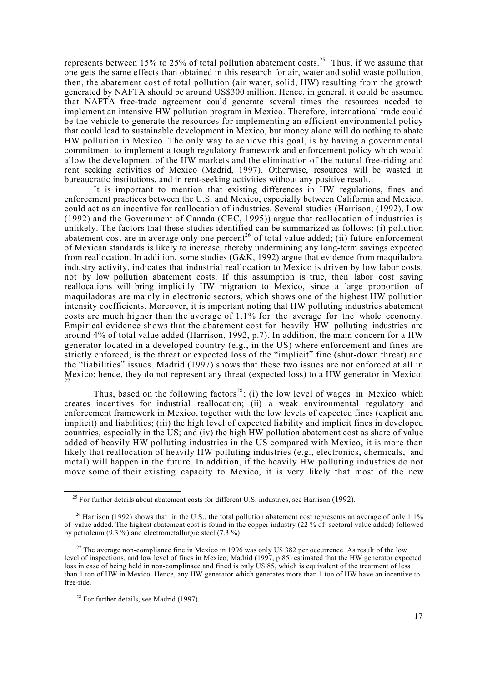represents between 15% to 25% of total pollution abatement costs.<sup>25</sup> Thus, if we assume that one gets the same effects than obtained in this research for air, water and solid waste pollution, then, the abatement cost of total pollution (air water, solid, HW) resulting from the growth generated by NAFTA should be around US\$300 million. Hence, in general, it could be assumed that NAFTA free-trade agreement could generate several times the resources needed to implement an intensive HW pollution program in Mexico. Therefore, international trade could be the vehicle to generate the resources for implementing an efficient environmental policy that could lead to sustainable development in Mexico, but money alone will do nothing to abate HW pollution in Mexico. The only way to achieve this goal, is by having a governmental commitment to implement a tough regulatory framework and enforcement policy which would allow the development of the HW markets and the elimination of the natural free-riding and rent seeking activities of Mexico (Madrid, 1997). Otherwise, resources will be wasted in bureaucratic institutions, and in rent-seeking activities without any positive result.

It is important to mention that existing differences in HW regulations, fines and enforcement practices between the U.S. and Mexico, especially between California and Mexico, could act as an incentive for reallocation of industries. Several studies (Harrison, (1992), Low (1992) and the Government of Canada (CEC, 1995)) argue that reallocation of industries is unlikely. The factors that these studies identified can be summarized as follows: (i) pollution abatement cost are in average only one percent<sup>26</sup> of total value added; (ii) future enforcement of Mexican standards is likely to increase, thereby undermining any long-term savings expected from reallocation. In addition, some studies (G&K, 1992) argue that evidence from maquiladora industry activity, indicates that industrial reallocation to Mexico is driven by low labor costs, not by low pollution abatement costs. If this assumption is true, then labor cost saving reallocations will bring implicitly HW migration to Mexico, since a large proportion of maquiladoras are mainly in electronic sectors, which shows one of the highest HW pollution intensity coefficients. Moreover, it is important noting that HW polluting industries abatement costs are much higher than the average of 1.1% for the average for the whole economy. Empirical evidence shows that the abatement cost for heavily HW polluting industries are around 4% of total value added (Harrison, 1992, p.7). In addition, the main concern for a HW generator located in a developed country (e.g., in the US) where enforcement and fines are strictly enforced, is the threat or expected loss of the "implicit" fine (shut-down threat) and the "liabilities" issues. Madrid (1997) shows that these two issues are not enforced at all in Mexico; hence, they do not represent any threat (expected loss) to a HW generator in Mexico. 27

Thus, based on the following factors<sup>28</sup>; (i) the low level of wages in Mexico which creates incentives for industrial reallocation; (ii) a weak environmental regulatory and enforcement framework in Mexico, together with the low levels of expected fines (explicit and implicit) and liabilities; (iii) the high level of expected liability and implicit fines in developed countries, especially in the US; and (iv) the high HW pollution abatement cost as share of value added of heavily HW polluting industries in the US compared with Mexico, it is more than likely that reallocation of heavily HW polluting industries (e.g., electronics, chemicals, and metal) will happen in the future. In addition, if the heavily HW polluting industries do not move some of their existing capacity to Mexico, it is very likely that most of the new

 $\overline{a}$ 

 $25$  For further details about abatement costs for different U.S. industries, see Harrison (1992).

<sup>&</sup>lt;sup>26</sup> Harrison (1992) shows that in the U.S., the total pollution abatement cost represents an average of only 1.1% of value added. The highest abatement cost is found in the copper industry (22 % of sectoral value added) followed by petroleum (9.3 %) and electrometallurgic steel (7.3 %).

<sup>&</sup>lt;sup>27</sup> The average non-compliance fine in Mexico in 1996 was only U\$ 382 per occurrence. As result of the low level of inspections, and low level of fines in Mexico, Madrid (1997, p.85) estimated that the HW generator expected loss in case of being held in non-complinace and fined is only U\$ 85, which is equivalent of the treatment of less than 1 ton of HW in Mexico. Hence, any HW generator which generates more than 1 ton of HW have an incentive to free-ride.

<sup>&</sup>lt;sup>28</sup> For further details, see Madrid (1997).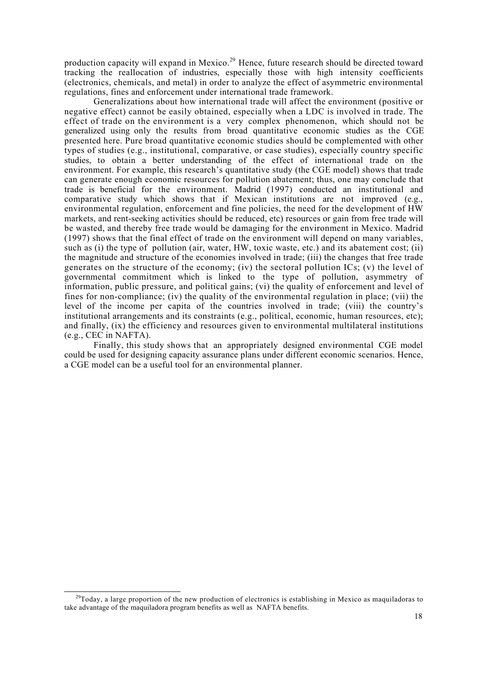production capacity will expand in Mexico.<sup>29</sup> Hence, future research should be directed toward tracking the reallocation of industries, especially those with high intensity coefficients (electronics, chemicals, and metal) in order to analyze the effect of asymmetric environmental regulations, fines and enforcement under international trade framework.

Generalizations about how international trade will affect the environment (positive or negative effect) cannot be easily obtained, especially when a LDC is involved in trade. The effect of trade on the environment is a very complex phenomenon, which should not be generalized using only the results from broad quantitative economic studies as the CGE presented here. Pure broad quantitative economic studies should be complemented with other types of studies (e.g., institutional, comparative, or case studies), especially country specific studies, to obtain a better understanding of the effect of international trade on the environment. For example, this research's quantitative study (the CGE model) shows that trade can generate enough economic resources for pollution abatement; thus, one may conclude that trade is beneficial for the environment. Madrid (1997) conducted an institutional and comparative study which shows that if Mexican institutions are not improved (e.g., environmental regulation, enforcement and fine policies, the need for the development of HW markets, and rent-seeking activities should be reduced, etc) resources or gain from free trade will be wasted, and thereby free trade would be damaging for the environment in Mexico. Madrid (1997) shows that the final effect of trade on the environment will depend on many variables, such as (i) the type of pollution (air, water, HW, toxic waste, etc.) and its abatement cost; (ii) the magnitude and structure of the economies involved in trade; (iii) the changes that free trade generates on the structure of the economy; (iv) the sectoral pollution ICs; (v) the level of governmental commitment which is linked to the type of pollution, asymmetry of information, public pressure, and political gains; (vi) the quality of enforcement and level of fines for non-compliance; (iv) the quality of the environmental regulation in place; (vii) the level of the income per capita of the countries involved in trade; (viii) the country's institutional arrangements and its constraints (e.g., political, economic, human resources, etc); and finally, (ix) the efficiency and resources given to environmental multilateral institutions (e.g., CEC in NAFTA).

Finally, this study shows that an appropriately designed environmental CGE model could be used for designing capacity assurance plans under different economic scenarios. Hence, a CGE model can be a useful tool for an environmental planner.

 $\overline{\phantom{a}}$ 

 $^{29}$ Today, a large proportion of the new production of electronics is establishing in Mexico as maquiladoras to take advantage of the maquiladora program benefits as well as NAFTA benefits.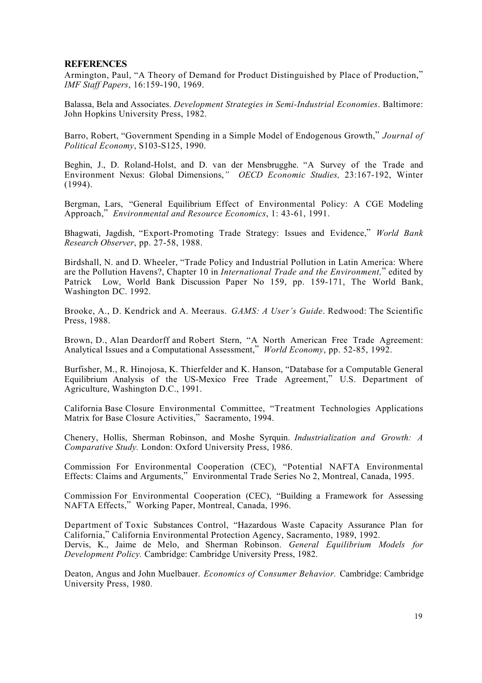## **REFERENCES**

Armington, Paul, "A Theory of Demand for Product Distinguished by Place of Production," *IMF Staff Papers*, 16:159-190, 1969.

Balassa, Bela and Associates. *Development Strategies in Semi-Industrial Economies*. Baltimore: John Hopkins University Press, 1982.

Barro, Robert, "Government Spending in a Simple Model of Endogenous Growth," *Journal of Political Economy*, S103-S125, 1990.

Beghin, J., D. Roland-Holst, and D. van der Mensbrugghe. "A Survey of the Trade and Environment Nexus: Global Dimensions,*" OECD Economic Studies,* 23:167-192, Winter (1994).

Bergman, Lars, "General Equilibrium Effect of Environmental Policy: A CGE Modeling Approach," *Environmental and Resource Economics*, 1: 43-61, 1991.

Bhagwati, Jagdish, "Export-Promoting Trade Strategy: Issues and Evidence," *World Bank Research Observer*, pp. 27-58, 1988.

Birdshall, N. and D. Wheeler, "Trade Policy and Industrial Pollution in Latin America: Where are the Pollution Havens?, Chapter 10 in *International Trade and the Environment,*" edited by Patrick Low, World Bank Discussion Paper No 159, pp. 159-171, The World Bank, Washington DC. 1992.

Brooke, A., D. Kendrick and A. Meeraus. *GAMS: A User's Guide*. Redwood: The Scientific Press, 1988.

Brown, D., Alan Deardorff and Robert Stern, "A North American Free Trade Agreement: Analytical Issues and a Computational Assessment," *World Economy*, pp. 52-85, 1992.

Burfisher, M., R. Hinojosa, K. Thierfelder and K. Hanson, "Database for a Computable General Equilibrium Analysis of the US-Mexico Free Trade Agreement," U.S. Department of Agriculture, Washington D.C., 1991.

California Base Closure Environmental Committee, "Treatment Technologies Applications Matrix for Base Closure Activities," Sacramento, 1994.

Chenery, Hollis, Sherman Robinson, and Moshe Syrquin. *Industrialization and Growth: A Comparative Study.* London: Oxford University Press, 1986.

Commission For Environmental Cooperation (CEC), "Potential NAFTA Environmental Effects: Claims and Arguments," Environmental Trade Series No 2, Montreal, Canada, 1995.

Commission For Environmental Cooperation (CEC), "Building a Framework for Assessing NAFTA Effects," Working Paper, Montreal, Canada, 1996.

Department of Toxic Substances Control, "Hazardous Waste Capacity Assurance Plan for California," California Environmental Protection Agency, Sacramento, 1989, 1992. Dervis, K., Jaime de Melo, and Sherman Robinson. *General Equilibrium Models for Development Policy.* Cambridge: Cambridge University Press, 1982.

Deaton, Angus and John Muelbauer. *Economics of Consumer Behavior.* Cambridge: Cambridge University Press, 1980.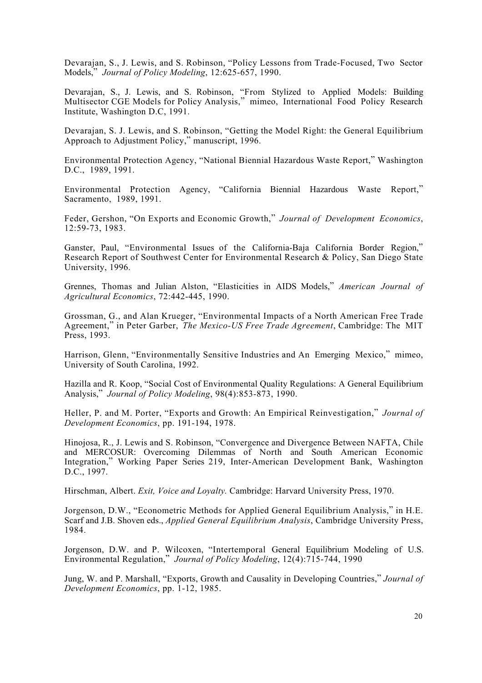Devarajan, S., J. Lewis, and S. Robinson, "Policy Lessons from Trade-Focused, Two Sector Models," *Journal of Policy Modeling*, 12:625-657, 1990.

Devarajan, S., J. Lewis, and S. Robinson, "From Stylized to Applied Models: Building Multisector CGE Models for Policy Analysis," mimeo, International Food Policy Research Institute, Washington D.C, 1991.

Devarajan, S. J. Lewis, and S. Robinson, "Getting the Model Right: the General Equilibrium Approach to Adjustment Policy," manuscript, 1996.

Environmental Protection Agency, "National Biennial Hazardous Waste Report," Washington D.C., 1989, 1991.

Environmental Protection Agency, "California Biennial Hazardous Waste Report," Sacramento, 1989, 1991.

Feder, Gershon, "On Exports and Economic Growth," *Journal of Development Economics*, 12:59-73, 1983.

Ganster, Paul, "Environmental Issues of the California-Baja California Border Region," Research Report of Southwest Center for Environmental Research & Policy, San Diego State University, 1996.

Grennes, Thomas and Julian Alston, "Elasticities in AIDS Models," *American Journal of Agricultural Economics*, 72:442-445, 1990.

Grossman, G., and Alan Krueger, "Environmental Impacts of a North American Free Trade Agreement," in Peter Garber, *The Mexico-US Free Trade Agreement*, Cambridge: The MIT Press, 1993.

Harrison, Glenn, "Environmentally Sensitive Industries and An Emerging Mexico," mimeo, University of South Carolina, 1992.

Hazilla and R. Koop, "Social Cost of Environmental Quality Regulations: A General Equilibrium Analysis," *Journal of Policy Modeling*, 98(4):853-873, 1990.

Heller, P. and M. Porter, "Exports and Growth: An Empirical Reinvestigation," *Journal of Development Economics*, pp. 191-194, 1978.

Hinojosa, R., J. Lewis and S. Robinson, "Convergence and Divergence Between NAFTA, Chile and MERCOSUR: Overcoming Dilemmas of North and South American Economic Integration," Working Paper Series 219, Inter-American Development Bank, Washington D.C., 1997.

Hirschman, Albert. *Exit, Voice and Loyalty.* Cambridge: Harvard University Press, 1970.

Jorgenson, D.W., "Econometric Methods for Applied General Equilibrium Analysis," in H.E. Scarf and J.B. Shoven eds., *Applied General Equilibrium Analysis*, Cambridge University Press, 1984.

Jorgenson, D.W. and P. Wilcoxen, "Intertemporal General Equilibrium Modeling of U.S. Environmental Regulation," *Journal of Policy Modeling*, 12(4):715-744, 1990

Jung, W. and P. Marshall, "Exports, Growth and Causality in Developing Countries," *Journal of Development Economics*, pp. 1-12, 1985.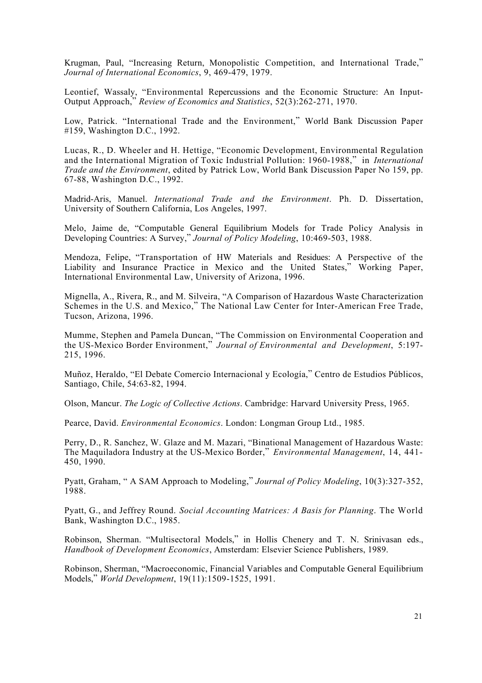Krugman, Paul, "Increasing Return, Monopolistic Competition, and International Trade," *Journal of International Economics*, 9, 469-479, 1979.

Leontief, Wassaly, "Environmental Repercussions and the Economic Structure: An Input-Output Approach," *Review of Economics and Statistics*, 52(3):262-271, 1970.

Low, Patrick. "International Trade and the Environment," World Bank Discussion Paper #159, Washington D.C., 1992.

Lucas, R., D. Wheeler and H. Hettige, "Economic Development, Environmental Regulation and the International Migration of Toxic Industrial Pollution: 1960-1988," in *International Trade and the Environment*, edited by Patrick Low, World Bank Discussion Paper No 159, pp. 67-88, Washington D.C., 1992.

Madrid-Aris, Manuel. *International Trade and the Environment*. Ph. D. Dissertation, University of Southern California, Los Angeles, 1997.

Melo, Jaime de, "Computable General Equilibrium Models for Trade Policy Analysis in Developing Countries: A Survey," *Journal of Policy Modeling*, 10:469-503, 1988.

Mendoza, Felipe, "Transportation of HW Materials and Residues: A Perspective of the Liability and Insurance Practice in Mexico and the United States," Working Paper, International Environmental Law, University of Arizona, 1996.

Mignella, A., Rivera, R., and M. Silveira, "A Comparison of Hazardous Waste Characterization Schemes in the U.S. and Mexico," The National Law Center for Inter-American Free Trade, Tucson, Arizona, 1996.

Mumme, Stephen and Pamela Duncan, "The Commission on Environmental Cooperation and the US-Mexico Border Environment," *Journal of Environmental and Development*, 5:197- 215, 1996.

Muñoz, Heraldo, "El Debate Comercio Internacional y Ecología," Centro de Estudios Públicos, Santiago, Chile, 54:63-82, 1994.

Olson, Mancur. *The Logic of Collective Actions*. Cambridge: Harvard University Press, 1965.

Pearce, David. *Environmental Economics*. London: Longman Group Ltd., 1985.

Perry, D., R. Sanchez, W. Glaze and M. Mazari, "Binational Management of Hazardous Waste: The Maquiladora Industry at the US-Mexico Border," *Environmental Management*, 14, 441- 450, 1990.

Pyatt, Graham, " A SAM Approach to Modeling," *Journal of Policy Modeling*, 10(3):327-352, 1988.

Pyatt, G., and Jeffrey Round. *Social Accounting Matrices: A Basis for Planning*. The World Bank, Washington D.C., 1985.

Robinson, Sherman. "Multisectoral Models," in Hollis Chenery and T. N. Srinivasan eds., *Handbook of Development Economics*, Amsterdam: Elsevier Science Publishers, 1989.

Robinson, Sherman, "Macroeconomic, Financial Variables and Computable General Equilibrium Models," *World Development*, 19(11):1509-1525, 1991.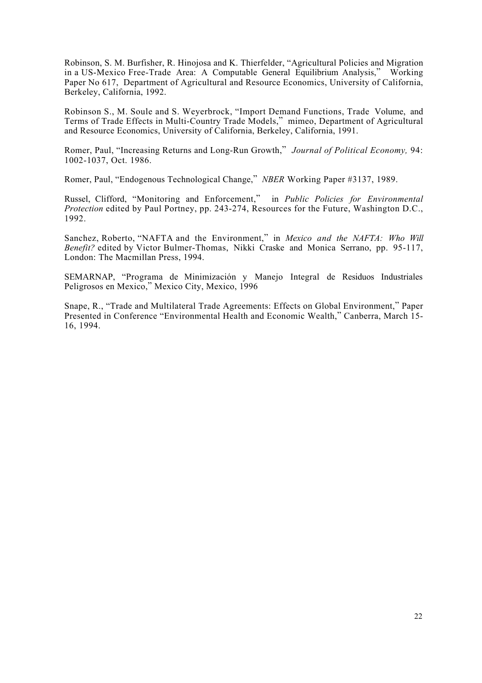Robinson, S. M. Burfisher, R. Hinojosa and K. Thierfelder, "Agricultural Policies and Migration in a US-Mexico Free-Trade Area: A Computable General Equilibrium Analysis," Working Paper No 617, Department of Agricultural and Resource Economics, University of California, Berkeley, California, 1992.

Robinson S., M. Soule and S. Weyerbrock, "Import Demand Functions, Trade Volume, and Terms of Trade Effects in Multi-Country Trade Models," mimeo, Department of Agricultural and Resource Economics, University of California, Berkeley, California, 1991.

Romer, Paul, "Increasing Returns and Long-Run Growth," *Journal of Political Economy,* 94: 1002-1037, Oct. 1986.

Romer, Paul, "Endogenous Technological Change," *NBER* Working Paper #3137, 1989.

Russel, Clifford, "Monitoring and Enforcement," in *Public Policies for Environmental Protection* edited by Paul Portney, pp. 243-274, Resources for the Future, Washington D.C., 1992.

Sanchez, Roberto, "NAFTA and the Environment," in *Mexico and the NAFTA: Who Will Benefit?* edited by Victor Bulmer-Thomas, Nikki Craske and Monica Serrano, pp. 95-117, London: The Macmillan Press, 1994.

SEMARNAP, "Programa de Minimización y Manejo Integral de Residuos Industriales Peligrosos en Mexico," Mexico City, Mexico, 1996

Snape, R., "Trade and Multilateral Trade Agreements: Effects on Global Environment," Paper Presented in Conference "Environmental Health and Economic Wealth," Canberra, March 15- 16, 1994.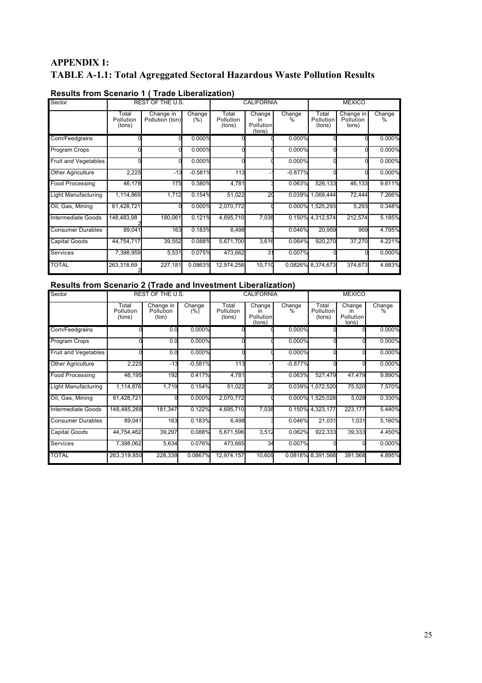# **APPENDIX 1: TABLE A-1.1: Total Agreggated Sectoral Hazardous Waste Pollution Results**

| Sector                   |                              | <b>REST OF THE U.S.</b>      |                  |                              | <b>CALIFORNIA</b>                          |             | <b>MEXICO</b>                |                                 |                |  |
|--------------------------|------------------------------|------------------------------|------------------|------------------------------|--------------------------------------------|-------------|------------------------------|---------------------------------|----------------|--|
|                          | Total<br>Pollution<br>(tons) | Change in<br>Pollution (ton) | Change<br>$(\%)$ | Total<br>Pollution<br>(tons) | Change<br>in<br><b>Pollution</b><br>(tons) | Change<br>℅ | Total<br>Pollution<br>(tons) | Change in<br>Pollution<br>tons) | Change<br>$\%$ |  |
| Corn/Feedgrains          |                              |                              | 0.000%           |                              |                                            | 0.000%      |                              |                                 | 0.000%         |  |
| Program Crops            |                              |                              | 0.000%           |                              |                                            | 0.000%      |                              |                                 | 0.000%         |  |
| Fruit and Vegetables     |                              |                              | 0.000%           |                              |                                            | 0.000%      |                              |                                 | 0.000%         |  |
| <b>Other Agriculture</b> | 2,225                        | $-13$                        | $-0.581%$        | 113                          |                                            | $-0.877%$   |                              |                                 | 0.000%         |  |
| Food Processing          | 46,178                       | 175                          | 0.380%           | 4,781                        |                                            | 0.063%      | 526,133                      | 46,133                          | 9.611%         |  |
| Light Manufacturing      | 1,114,869                    | 1,712                        | 0.154%           | 51,022                       | 20                                         | 0.039%      | 1,069,444                    | 72,444                          | 7.266%         |  |
| Oil, Gas, Mining         | 61,428,721                   |                              | 0.000%           | 2,070,772                    |                                            | 0.000%      | 1,525,293                    | 5,293                           | 0.348%         |  |
| Intermediate Goods       | 148,483,98                   | 180.061                      | 0.121%           | 4,695,710                    | 7,038                                      |             | 0.150% 4.312,574             | 212,574                         | 5.185%         |  |
| <b>Consumer Durables</b> | 89,041                       | 163                          | 0.183%           | 6,498                        |                                            | 0.046%      | 20,959                       | 959                             | 4.795%         |  |
| <b>Capital Goods</b>     | 44,754,717                   | 39,552                       | 0.088%           | 5,671,700                    | 3,616                                      | 0.064%      | 920,270                      | 37,270                          | 4.221%         |  |
| Services                 | 7,398,959                    | 5,531                        | 0.075%           | 473,662                      | 31                                         | 0.007%      |                              |                                 | 0.000%         |  |
| <b>TOTAL</b>             | 263,318,69                   | 227,181                      | 0.0863%          | 12,974,258                   | 10,710                                     |             | 0.0826% 8,374,673            | 374,673                         | 4.683%         |  |

# **Results from Scenario 1 ( Trade Liberalization)**

# **Results from Scenario 2 (Trade and Investment Liberalization)**

| Sector                      |                              | REST OF THE U.S.                       |               |                              | <b>CALIFORNIA</b>                   |             | <b>MEXICO</b>                |                                    |             |  |
|-----------------------------|------------------------------|----------------------------------------|---------------|------------------------------|-------------------------------------|-------------|------------------------------|------------------------------------|-------------|--|
|                             | Total<br>Pollution<br>(tons) | Change in<br><b>Pollution</b><br>(ton) | Change<br>(%) | Total<br>Pollution<br>(tons) | Change<br>ın<br>Pollution<br>(tons) | Change<br>℅ | Total<br>Pollution<br>(tons) | Change<br>in<br>Pollution<br>tons) | Change<br>℅ |  |
| Corn/Feedgrains             |                              | 0.0                                    | 0.000%        |                              |                                     | 0.000%      |                              |                                    | 0.000%      |  |
| Program Crops               |                              | 0.0                                    | 0.000%        |                              |                                     | 0.000%      |                              |                                    | 0.000%      |  |
| <b>Fruit and Vegetables</b> |                              | 0.0                                    | 0.000%        |                              |                                     | 0.000%      |                              |                                    | 0.000%      |  |
| <b>Other Agriculture</b>    | 2,225                        | $-13$                                  | $-0.581%$     | 113                          |                                     | $-0.877%$   |                              |                                    | 0.000%      |  |
| <b>Food Processing</b>      | 46.195                       | 192                                    | 0.417%        | 4,781                        |                                     | 0.063%      | 527,479                      | 47.479                             | 9.890%      |  |
| Light Manufacturing         | 1,114,876                    | 1,719                                  | 0.154%        | 51,022                       | 20                                  |             | 0.039% 1,072,520             | 75,520                             | 7.570%      |  |
| Oil, Gas, Mining            | 61,428,721                   |                                        | 0.000%        | 2,070,772                    |                                     |             | 0.000% 1,525,028             | 5,028                              | 0.330%      |  |
| Intermediate Goods          | 148,485,268                  | 181,347                                | 0.122%        | 4,695,710                    | 7,038                               |             | 0.150% 4,323,177             | 223,177                            | 5.440%      |  |
| <b>Consumer Durables</b>    | 89,041                       | 163                                    | 0.183%        | 6,498                        |                                     | 0.046%      | 21,031                       | 1,031                              | 5,160%      |  |
| Capital Goods               | 44,754,462                   | 39,297                                 | 0.088%        | 5,671,596                    | 3,512                               | 0.062%      | 922,333                      | 39,333                             | 4.450%      |  |
| <b>Services</b>             | 7,398,062                    | 5,634                                  | 0.076%        | 473,665                      | 34                                  | 0.007%      |                              |                                    | 0.000%      |  |
| <b>TOTAL</b>                | 263,319,850                  | 228,339                                | 0.0867%       | 12,974,157                   | 10,609                              |             | 0.0818% 8.391,568            | 391,568                            | 4.895%      |  |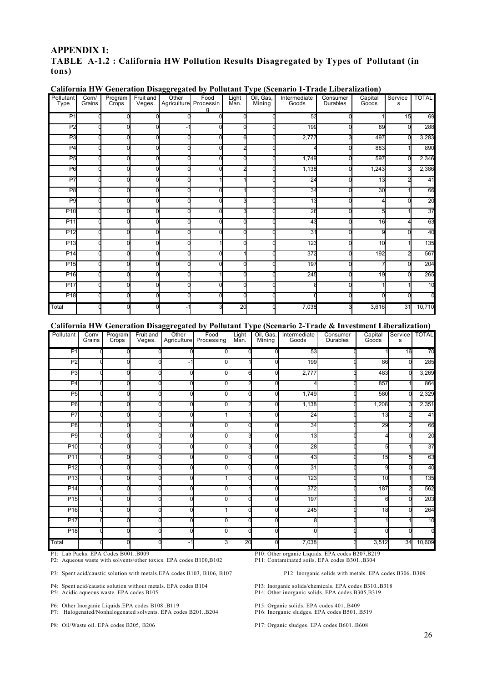# **APPENDIX 1:**

# **TABLE A-1.2 : California HW Pollution Results Disagregated by Types of Pollutant (in tons)**

| Type            |        | Crops | Program<br>Veges. | Food<br>Agriculture Processin | Light<br>Man. | Oil, Gas,<br>Mining | Intermediate<br>Goods | Consumer<br>Durables | Capital<br>Goods | Service<br>s | <b>TOTAL</b>   |
|-----------------|--------|-------|-------------------|-------------------------------|---------------|---------------------|-----------------------|----------------------|------------------|--------------|----------------|
|                 | Grains |       |                   | a                             |               |                     |                       |                      |                  |              |                |
| P <sub>1</sub>  |        | ∩     | ∩                 |                               | U             |                     | 53                    |                      |                  | 15           | 69             |
| P <sub>2</sub>  |        |       |                   |                               |               |                     | <b>199</b>            |                      | 89               |              | 288            |
| P <sub>3</sub>  |        |       |                   |                               | 6             |                     | 2,777                 |                      | 497              |              | 3,283          |
| P <sub>4</sub>  |        |       | n                 |                               |               |                     |                       |                      | 883              |              | 890            |
| P <sub>5</sub>  |        |       |                   |                               |               |                     | 1,749                 |                      | 597              |              | 2,346          |
| P <sub>6</sub>  |        |       |                   |                               |               |                     | 1,138                 |                      | 1,243            |              | 2,386          |
| P7              |        |       |                   |                               |               |                     | 24                    |                      | 13               |              | 41             |
| P <sub>8</sub>  |        |       |                   |                               |               |                     | 34                    |                      | 30               |              | 66             |
| P <sub>9</sub>  |        |       |                   |                               |               |                     | $\overline{13}$       |                      |                  |              | 20             |
| P <sub>10</sub> |        |       |                   |                               |               |                     | 28                    |                      |                  |              | 37             |
| P <sub>11</sub> |        |       | r                 |                               |               |                     | 43                    |                      | 16               |              | 63             |
| P <sub>12</sub> |        |       |                   |                               |               |                     | 31                    |                      |                  |              | 40             |
| P <sub>13</sub> |        |       |                   |                               |               |                     | 123                   |                      | 10               |              | 135            |
| P <sub>14</sub> |        |       |                   |                               |               |                     | 372                   |                      | 192              |              | 567            |
| P <sub>15</sub> |        |       |                   |                               |               |                     | 197                   |                      |                  |              | 204            |
| P <sub>16</sub> |        |       |                   |                               |               |                     | 245                   |                      | 19               |              | 265            |
| P <sub>17</sub> |        |       |                   |                               |               |                     |                       |                      |                  |              | 10             |
| P <sub>18</sub> |        |       |                   |                               |               |                     |                       |                      |                  |              | $\overline{0}$ |
| Total           |        |       | $\Omega$          |                               | 20            |                     | 7,038                 |                      | 3,616            | 31           | 10,710         |

**California HW Generation Disaggregated by Pollutant Type (Scenario 1-Trade Liberalization)**

#### **California HW Generation Disaggregated by Pollutant Type (Scenario 2-Trade & Investment Liberalization)**

| Pollutant       | Corn/<br>Grains | Program<br>Crops | Fruit and<br>Veges. | Other<br>Agriculture | Food<br>Processing | Light<br>Man. | Oil, Gas,<br>Mining | Intermediate<br>Goods | Consumer<br>Durables | Capital<br>Goods | Service TOTAL<br>s |          |
|-----------------|-----------------|------------------|---------------------|----------------------|--------------------|---------------|---------------------|-----------------------|----------------------|------------------|--------------------|----------|
| P <sub>1</sub>  |                 |                  |                     |                      |                    |               |                     | 53                    |                      |                  | 16                 | 70       |
| P <sub>2</sub>  |                 |                  |                     | -1                   |                    |               |                     | 199                   |                      | 86               |                    | 285      |
| P <sub>3</sub>  |                 |                  |                     |                      |                    | 6             |                     | 2,777                 |                      | 483              |                    | 3,269    |
| P <sub>4</sub>  |                 |                  |                     |                      |                    |               |                     |                       |                      | 857              |                    | 864      |
| P <sub>5</sub>  |                 |                  |                     |                      |                    |               |                     | 1,749                 |                      | 580              |                    | 2,329    |
| P <sub>6</sub>  |                 |                  |                     |                      |                    |               |                     | 1,138                 |                      | 1,208            |                    | 2,351    |
| P <sub>7</sub>  |                 | n                |                     |                      |                    |               |                     | 24                    |                      | 13               |                    | 41       |
| P <sub>8</sub>  |                 |                  |                     |                      |                    |               |                     | 34                    |                      | 29               |                    | 66       |
| P <sub>9</sub>  |                 |                  |                     |                      |                    |               |                     | 13                    |                      |                  |                    | 20       |
| P <sub>10</sub> |                 |                  |                     |                      |                    |               |                     | 28                    |                      |                  |                    | 37       |
| P11             |                 |                  |                     |                      |                    |               |                     | 43                    |                      | 15               |                    | 63       |
| P12             |                 |                  |                     |                      |                    |               |                     | 31                    |                      |                  |                    | 40       |
| P <sub>13</sub> |                 |                  |                     |                      |                    |               |                     | 123                   |                      | 10               |                    | 135      |
| P <sub>14</sub> |                 |                  |                     |                      |                    |               |                     | 372                   |                      | 187              |                    | 562      |
| P <sub>15</sub> |                 |                  |                     |                      |                    |               |                     | 197                   |                      |                  |                    | 203      |
| P16             |                 |                  |                     |                      |                    |               |                     | 245                   |                      | 18               |                    | 264      |
| P17             |                 |                  |                     |                      |                    |               |                     |                       |                      |                  |                    | 10       |
| P <sub>18</sub> |                 |                  |                     |                      |                    |               |                     |                       |                      |                  |                    | $\Omega$ |
| Total           |                 | 0                |                     | $-1$                 |                    | 20            | U                   | 7,038                 |                      | 3,512            | 34                 | 10,609   |

P1: Lab Packs. EPA Codes B001..B009 P10: Other organic Liquids. EPA codes B207,B219 P2: Aqueous waste with solvents/other toxics. EPA codes B100,B102

P3: Spent acid/caustic solution with metals.EPA codes B103, B106, B107 P12: Inorganic solids with metals. EPA codes B306..B309

P4: Spent acid/caustic solution without metals. EPA codes B104 P13: Inorganic solids/chemicals. EPA codes B310..B318

P6: Other Inorganic Liquids.EPA codes B108..B119<br>
P7: Halogenated/Nonhalogenated solvents. EPA codes B201..B204 P16: Inorganic sludges. EPA codes B501..B519 P7: Halogenated/Nonhalogenated solvents. EPA codes B201..B204

P5: Acidic aqueous waste. EPA codes B105 P14: Other inorganic solids. EPA codes B305,B319

P8: Oil/Waste oil. EPA codes B205, B206 P17: Organic sludges. EPA codes B601..B608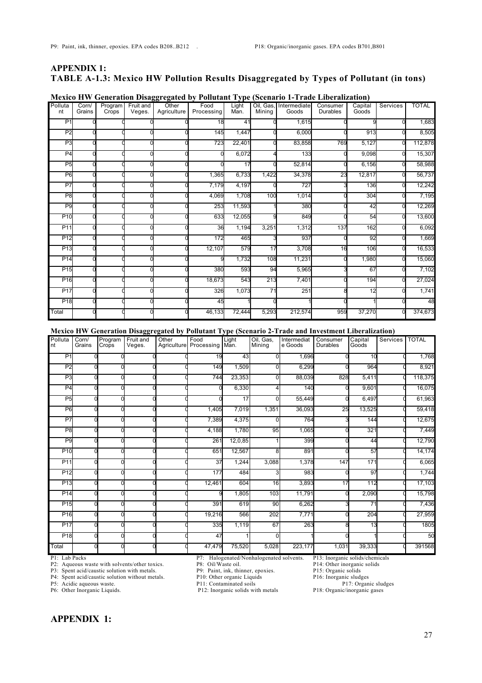# **APPENDIX 1: TABLE A-1.3: Mexico HW Pollution Results Disaggregated by Types of Pollutant (in tons)**

| Polluta<br>nt   | Corn/<br>Grains | Program<br>Crops | Fruit and<br>Veges. | Other<br>Agriculture | Food<br>Processing | Light<br>Man. | Mining          | Oil, Gas, Intermediate<br>Goods | Consumer<br><b>Durables</b> | Capital<br>Goods | Services | <b>TOTAL</b> |
|-----------------|-----------------|------------------|---------------------|----------------------|--------------------|---------------|-----------------|---------------------------------|-----------------------------|------------------|----------|--------------|
| P <sub>1</sub>  |                 |                  |                     |                      | 18                 | 41            |                 | 1,615                           |                             |                  |          | 1,683        |
| P <sub>2</sub>  |                 |                  |                     |                      | 145                | 1,447         |                 | 6,000                           |                             | 913              |          | 8,505        |
| P <sub>3</sub>  |                 |                  |                     |                      | 723                | 22,401        |                 | 83,858                          | 769                         | 5,127            | n        | 112,878      |
| P <sub>4</sub>  |                 |                  |                     |                      |                    | 6.072         |                 | 133                             |                             | 9,098            |          | 15,307       |
| P <sub>5</sub>  |                 |                  |                     |                      |                    | 17            |                 | 52,814                          |                             | 6,156            | n        | 58,988       |
| P <sub>6</sub>  |                 |                  |                     |                      | 1,365              | 6,733         | 1,422           | 34,378                          | 23                          | 12,817           | n        | 56,737       |
| P <sub>7</sub>  |                 |                  |                     |                      | 7,179              | 4,197         |                 | 727                             |                             | 136              |          | 12,242       |
| P <sub>8</sub>  |                 |                  |                     |                      | 4,069              | 1,708         | 100             | 1,014                           |                             | 304              |          | 7,195        |
| P <sub>9</sub>  |                 |                  |                     |                      | 253                | 11,593        |                 | 380                             |                             | 42               |          | 12,269       |
| P10             |                 |                  |                     |                      | 633                | 12,055        |                 | 849                             |                             | 54               |          | 13,600       |
| P11             |                 |                  |                     |                      | 36                 | 1,194         | 3,251           | 1,312                           | 137                         | 162              |          | 6,092        |
| P12             |                 |                  |                     |                      | 172                | 465           |                 | 937                             |                             | 92               |          | 1,669        |
| P <sub>13</sub> |                 |                  |                     |                      | 12,107             | 579           | 17              | 3,708                           | 16                          | 106              | n        | 16,533       |
| P14             |                 |                  |                     |                      |                    | 1,732         | 108             | 11,231                          |                             | 1,980            |          | 15,060       |
| P15             |                 |                  |                     |                      | 380                | 593           | 94              | 5,965                           |                             | 67               |          | 7,102        |
| P16             |                 |                  |                     |                      | 18,673             | 543           | 213             | 7,401                           |                             | 194              | n        | 27,024       |
| P17             |                 |                  |                     |                      | 326                | 1,073         | $\overline{71}$ | 251                             |                             | 12               |          | 1,741        |
| P <sub>18</sub> |                 |                  |                     |                      | 45                 |               |                 |                                 |                             |                  |          | 48           |
| Total           |                 |                  |                     |                      | 46,133             | 72,444        | 5,293           | 212,574                         | 959                         | 37,270           |          | 374,673      |

# **Mexico HW Generation Disaggregated by Pollutant Type (Scenario 1-Trade Liberalization)**

**Mexico HW Generation Disaggregated by Pollutant Type (Scenario 2-Trade and Investment Liberalization)**

| Polluta<br>nt   | Corn/<br>Grains | Program<br>Crops | Fruit and<br>Veges. | Other | Food<br>Agriculture Processing | Light<br>Man. | Oil, Gas,<br>Mining | Intermediat<br>e Goods | Consumer<br><b>Durables</b> | Capital<br>Goods | <b>Services</b> | <b>TOTAL</b> |
|-----------------|-----------------|------------------|---------------------|-------|--------------------------------|---------------|---------------------|------------------------|-----------------------------|------------------|-----------------|--------------|
| P <sub>1</sub>  |                 |                  |                     |       | 19                             | 43            | $\Omega$            | 1,696                  |                             | 10               |                 | 1,768        |
| P <sub>2</sub>  |                 |                  |                     |       | 149                            | 1,509         | $\Omega$            | 6,299                  |                             | 964              |                 | 8,921        |
| P <sub>3</sub>  |                 |                  |                     |       | 744                            | 23,353        | $\mathbf{0}$        | 88,039                 | 828                         | 5,411            |                 | 118,375      |
| P <sub>4</sub>  |                 |                  |                     |       |                                | 6,330         | 4                   | 140                    |                             | 9,601            |                 | 16,075       |
| P <sub>5</sub>  |                 |                  |                     |       |                                | 17            | $\mathbf{0}$        | 55,449                 |                             | 6,497            |                 | 61,963       |
| P <sub>6</sub>  |                 |                  |                     |       | 1,405                          | 7,019         | 1,351               | 36,093                 | 25                          | 13,525           |                 | 59,418       |
| P <sub>7</sub>  |                 |                  |                     |       | 7,389                          | 4,375         | $\Omega$            | 764                    |                             | 144              |                 | 12,675       |
| P <sub>8</sub>  |                 |                  |                     |       | 4,188                          | 1,780         | 95                  | 1,065                  |                             | 321              |                 | 7,449        |
| P <sub>9</sub>  |                 |                  |                     |       | 261                            | 12,0,85       |                     | 399                    |                             | 44               |                 | 12,790       |
| P <sub>10</sub> |                 |                  |                     |       | 651                            | 12,567        | 8                   | 891                    |                             | 57               |                 | 14,174       |
| P <sub>11</sub> |                 |                  |                     |       | 37                             | 1,244         | 3,088               | 1,378                  | 147                         | 171              |                 | 6,065        |
| P <sub>12</sub> |                 |                  |                     |       | 177                            | 484           | 3                   | 983                    |                             | 97               |                 | 1,744        |
| P <sub>13</sub> |                 |                  |                     |       | 12,461                         | 604           | 16                  | 3,893                  | 17                          | 112              |                 | 17,103       |
| P <sub>14</sub> |                 |                  |                     |       |                                | 1,805         | 103                 | 11,791                 |                             | 2,090            |                 | 15,798       |
| P <sub>15</sub> |                 |                  |                     |       | 391                            | 619           | 90                  | 6,262                  |                             | 71               |                 | 7,436        |
| P <sub>16</sub> |                 |                  |                     |       | 19,216                         | 566           | 202                 | 7,771                  |                             | 204              |                 | 27,959       |
| P17             |                 |                  |                     |       | 335                            | 1,119         | 67                  | 263                    |                             | 13               |                 | 1805         |
| P <sub>18</sub> |                 |                  |                     |       | 47                             |               | $\Omega$            |                        |                             |                  |                 | 50           |
| Total           |                 |                  |                     |       | 47,479                         | 75,520        | 5,028               | 223,177                | 1,031                       | 39,333           |                 | 391568       |

P2: Aqueous waste with solvents/other toxics. P8: Oil/Waste oil. P14: Other inorganic P3: Spent acid/caustic solution with metals. P9: Paint, ink, thinner, epoxies. P15: Organic solids

P3: Spent acid/caustic solution with metals. P9: Paint, ink, thinner, epoxies. P15: Organic solids

P4: Spent acid/caustic solution without metals. P10: Other organic Liquids P16: Inorganic sludges

P6: Other Inorganic Liquids. P12: Inorganic solids with metals P18: Organic/inorganic gases

P1: Lab Packs Packs P7: Halogenated/Nonhalogenated solvents. P13: Inorganic solids/chemicals<br>P2: Aqueous waste with solvents/other toxics. P8: Oil/Waste oil. P14: Other inorganic solids

P5: Acidic aqueous waste. The property of P11: Contaminated soils P17: Organic sludges

# **APPENDIX 1:**

27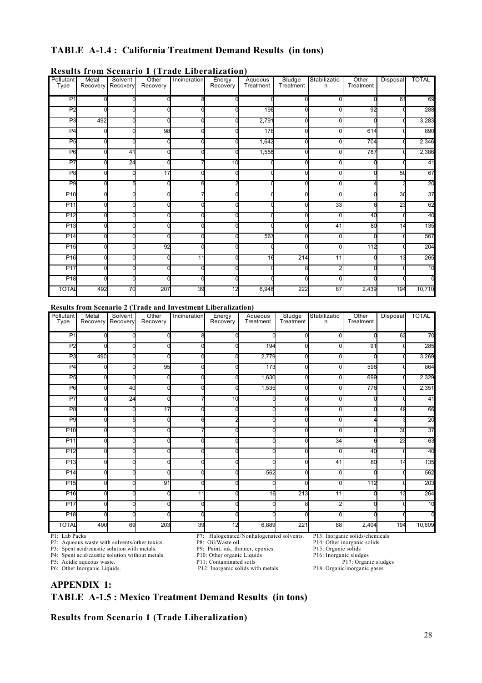# **TABLE A-1.4 : California Treatment Demand Results (in tons)**

| <b>Pollutant</b><br>Type | Metal<br>Recovery | Solvent<br>Recovery | Other<br>Recovery | Incineration | Energy<br>Recovery | Aqueous<br>Treatment | Sludge<br>Treatment | Stabilizatio<br>n | Other<br>Treatment | Disposal       | <b>TOTAL</b> |
|--------------------------|-------------------|---------------------|-------------------|--------------|--------------------|----------------------|---------------------|-------------------|--------------------|----------------|--------------|
| P <sub>1</sub>           |                   |                     |                   |              |                    |                      |                     | 0                 |                    | 61             | 69           |
| P <sub>2</sub>           |                   |                     |                   |              |                    | 196                  |                     | $\Omega$          | 92                 |                | 288          |
| P <sub>3</sub>           | 492               |                     |                   |              |                    | 2,791                |                     | $\Omega$          |                    |                | 3,283        |
| P <sub>4</sub>           |                   |                     | 98                |              |                    | 178                  |                     | 0                 | 614                |                | 890          |
| P <sub>5</sub>           |                   |                     |                   |              |                    | 1,642                |                     | O                 | 704                |                | 2,346        |
| P <sub>6</sub>           |                   | 41                  |                   |              | 0                  | 1,558                |                     | $\Omega$          | 787                |                | 2,386        |
| P7                       |                   | 24                  |                   |              | 10                 |                      |                     | $\Omega$          |                    |                | 41           |
| P <sub>8</sub>           |                   |                     | 17                |              |                    |                      |                     | $\Omega$          |                    | 50             | 67           |
| P <sub>9</sub>           |                   | 5                   |                   |              | 2                  |                      |                     | $\Omega$          |                    |                | 20           |
| P <sub>10</sub>          |                   |                     |                   |              |                    |                      |                     | $\Omega$          |                    | 3 <sub>0</sub> | 37           |
| P <sub>11</sub>          |                   |                     |                   |              |                    |                      |                     | 33                |                    | 23             | 62           |
| P <sub>12</sub>          |                   | r                   |                   |              | ∩                  |                      |                     | $\Omega$          | 40                 |                | 40           |
| P <sub>13</sub>          |                   |                     |                   |              |                    |                      |                     | 41                | 80                 | 14             | 135          |
| P <sub>14</sub>          |                   |                     |                   |              |                    | 567                  |                     | $\Omega$          |                    |                | 567          |
| P <sub>15</sub>          |                   |                     | 92                |              |                    |                      |                     | $\Omega$          | 112                |                | 204          |
| P <sub>16</sub>          |                   | r                   |                   | 11           | n                  | 16                   | 214                 | 11                |                    | 13             | 265          |
| P <sub>17</sub>          |                   | r                   |                   |              | n                  |                      |                     | $\overline{2}$    |                    |                | 10           |
| P <sub>18</sub>          |                   |                     |                   |              |                    |                      |                     | $\Omega$          |                    |                | n            |
| <b>TOTAL</b>             | 492               | 70                  | 207               | 39           | 12                 | 6,948                | 222                 | 87                | 2,439              | 194            | 10,710       |

# **Results from Scenario 1 (Trade Liberalization)**

#### **Results from Scenario 2 (Trade and Investment Liberalization)**

| Pollutant<br>Type | Metal<br>Recovery | Solvent<br>Recovery | Other<br>Recovery | Incineration | Energy<br>Recovery | Aqueous<br>Treatment                     | Sludge<br>Treatment | Stabilizatio<br>n | Other<br>Treatment              | Disposal        | <b>TOTAL</b> |
|-------------------|-------------------|---------------------|-------------------|--------------|--------------------|------------------------------------------|---------------------|-------------------|---------------------------------|-----------------|--------------|
| P <sub>1</sub>    |                   |                     |                   |              |                    |                                          |                     | O                 |                                 | 62              | 70           |
| P <sub>2</sub>    |                   |                     |                   |              |                    | 194                                      |                     | $\Omega$          | 91                              |                 | 285          |
| P <sub>3</sub>    | 490               |                     |                   |              |                    | 2,779                                    |                     | $\Omega$          |                                 |                 | 3,269        |
| P <sub>4</sub>    |                   |                     | 95                |              |                    | 173                                      |                     | $\Omega$          | 596                             |                 | 864          |
| P <sub>5</sub>    |                   |                     |                   |              |                    | 1,630                                    |                     | $\Omega$          | 699                             |                 | 2,329        |
| P <sub>6</sub>    |                   | 40                  |                   |              |                    | 1,535                                    |                     | $\Omega$          | 776                             |                 | 2,351        |
| P7                |                   | 24                  |                   |              | 10                 |                                          |                     | $\Omega$          |                                 |                 | 41           |
| P <sub>8</sub>    |                   |                     | 17                |              |                    |                                          |                     | O                 |                                 | 49              | 66           |
| P <sub>9</sub>    |                   |                     |                   |              |                    |                                          |                     | $\Omega$          |                                 |                 | 20           |
| P <sub>10</sub>   |                   |                     |                   |              |                    |                                          |                     | ŋ                 |                                 | 30              | 37           |
| P11               |                   |                     |                   |              |                    |                                          |                     | 34                |                                 | $\overline{23}$ | 63           |
| P <sub>12</sub>   |                   |                     |                   |              |                    |                                          |                     | $\Omega$          | 40                              |                 | 40           |
| P <sub>13</sub>   |                   |                     |                   |              |                    |                                          |                     | 41                | 80                              | 14              | 135          |
| P <sub>14</sub>   |                   |                     |                   |              |                    | 562                                      |                     | $\Omega$          |                                 |                 | 562          |
| P <sub>15</sub>   |                   |                     | 91                |              |                    |                                          |                     | $\Omega$          | 112                             |                 | 203          |
| P <sub>16</sub>   |                   |                     |                   | 11           |                    | 16                                       | 213                 | 11                |                                 | 13              | 264          |
| P <sub>17</sub>   |                   |                     |                   |              |                    |                                          |                     | 2                 |                                 |                 | 10           |
| P <sub>18</sub>   |                   |                     |                   |              |                    |                                          |                     | $\Omega$          |                                 |                 |              |
| <b>TOTAL</b>      | 490               | 69                  | 203               | 39           | 12                 | 6,889                                    | 221                 | 88                | 2,404                           | 194             | 10,609       |
| P1: Lab Packs     |                   |                     |                   |              |                    | P7: Halogenated/Nonhalogenated solvents. |                     |                   | P13: Inorganic solids/chemicals |                 |              |

P3: Spent acid/caustic solution with metals.<br>
P9: Paint, ink, thinner, epoxies. P15: Organic solids<br>
P4: Spent acid/caustic solution without metals. P10: Other organic Liquids P16: Inorganic sludges

P4: Spent acid/caustic solution without metals. P10: Other organic Liquids P16: Inorganic sludges<br>P11: Contaminated soils P17: Organic sludges<br>P17: Organic sludges

P2: Aqueous waste with solvents/other toxics.<br>
P3: Oil/Waste oil. P14: Other inorganic solids<br>
P3: Spent acid/caustic solution with metals.<br>
P9: Paint, ink, thinner, epoxies. P15: Organic solids<br>
P15: Organic solids

P5: Acidic aqueous waste. P11: Contaminated soils P17: Organic sludges P17: Organic sludges P17: Organic sludges P17: Organic sludges P18: Organic/inorganic gases P6: Other Inorganic Liquids. P12: Inorganic solids with metals

**APPENDIX 1: TABLE A-1.5 : Mexico Treatment Demand Results (in tons)**

**Results from Scenario 1 (Trade Liberalization)**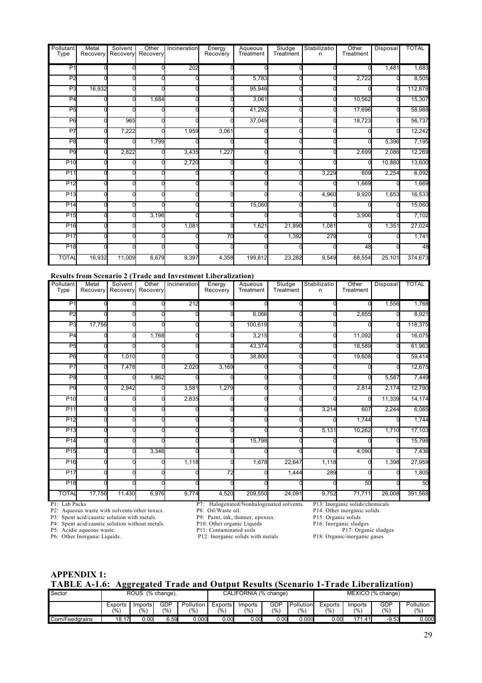| Pollutant<br>Type | Metal<br>Recovery | Solvent<br>Recovery | Other<br>Recovery | Incineration | Energy<br>Recovery | Aqueous<br>Treatment | Sludge<br>Treatment | Stabilizatio<br>n | Other<br>Treatment | Disposal | <b>TOTAL</b> |
|-------------------|-------------------|---------------------|-------------------|--------------|--------------------|----------------------|---------------------|-------------------|--------------------|----------|--------------|
|                   |                   |                     |                   |              |                    |                      |                     |                   |                    |          |              |
| P1                |                   |                     |                   | 202          |                    |                      |                     |                   |                    | 1,481    | 1,683        |
| P <sub>2</sub>    |                   |                     |                   |              |                    | 5,783                |                     |                   | 2,722              |          | 8,505        |
| P <sub>3</sub>    | 16,932            |                     |                   |              |                    | 95,946               |                     |                   |                    | C        | 112,878      |
| P <sub>4</sub>    |                   |                     | 1,684             |              |                    | 3,061                |                     |                   | 10,562             |          | 15,307       |
| P <sub>5</sub>    |                   |                     |                   |              |                    | 41,292               |                     |                   | 17,696             | ი        | 58,988       |
| P6                |                   | 965                 |                   |              |                    | 37,049               |                     |                   | 18,723             |          | 56,737       |
| P7                |                   | 7,222               |                   | 1,959        | 3,061              |                      |                     |                   |                    |          | 12,242       |
| P <sub>8</sub>    |                   |                     | 1,799             |              |                    |                      |                     |                   |                    | 5,396    | 7,195        |
| P <sub>9</sub>    |                   | 2,822               |                   | 3,435        | 1,227              |                      |                     |                   | 2,699              | 2,086    | 12,269       |
| P <sub>10</sub>   |                   |                     |                   | 2,720        |                    |                      |                     |                   |                    | 10,880   | 13,600       |
| P <sub>11</sub>   |                   |                     |                   |              |                    |                      |                     | 3,229             | 609                | 2,254    | 6,092        |
| P <sub>12</sub>   |                   |                     |                   |              |                    |                      |                     |                   | 1,669              |          | 1,669        |
| P <sub>13</sub>   |                   |                     |                   |              |                    |                      |                     | 4,960             | 9,920              | 1,653    | 16,533       |
| P <sub>14</sub>   |                   |                     |                   |              |                    | 15,060               |                     |                   |                    |          | 15,060       |
| P <sub>15</sub>   |                   |                     | 3,196             |              |                    |                      |                     |                   | 3,906              |          | 7,102        |
| P <sub>16</sub>   |                   |                     |                   | 1,081        |                    | 1,621                | 21,890              | 1,081             |                    | 1,351    | 27,024       |
| P <sub>17</sub>   |                   |                     |                   |              | 70                 |                      | 1,392               | 279               |                    |          | 1,741        |
| P <sub>18</sub>   |                   |                     |                   |              |                    |                      |                     |                   | 48                 |          | 48           |
| <b>TOTAL</b>      | 16,932            | 11,009              | 6,679             | 9,397        | 4,358              | 199,812              | 23,282              | 9,549             | 68,554             | 25,101   | 374,673      |

#### **Results from Scenario 2 (Trade and Investment Liberalization)**

| Pollutant<br>Type | Metal<br>Recovery                                                                               | Solvent<br>Recovery | Other<br>Recovery | Incineration | Energy<br>Recovery         | Aqueous<br>Treatment                     | Sludge<br>Treatment | Stabilizatio<br>n   | Other<br>Treatment              | Disposal                    | <b>TOTAL</b> |
|-------------------|-------------------------------------------------------------------------------------------------|---------------------|-------------------|--------------|----------------------------|------------------------------------------|---------------------|---------------------|---------------------------------|-----------------------------|--------------|
|                   |                                                                                                 |                     |                   |              |                            |                                          |                     |                     |                                 |                             |              |
| P <sub>1</sub>    |                                                                                                 |                     |                   | 212          |                            |                                          |                     |                     |                                 | 1,556                       | 1,768        |
| P <sub>2</sub>    |                                                                                                 |                     |                   |              |                            | 6,066                                    |                     |                     | 2,855                           |                             | 8,921        |
| P <sub>3</sub>    | 17,756                                                                                          |                     |                   |              |                            | 100,619                                  |                     |                     |                                 | U                           | 118,375      |
| P <sub>4</sub>    |                                                                                                 |                     | 1,768             |              |                            | 3,215                                    |                     |                     | 11,092                          |                             | 16,075       |
| P <sub>5</sub>    |                                                                                                 |                     |                   |              |                            | 43,374                                   |                     |                     | 18,589                          |                             | 61,963       |
| P <sub>6</sub>    |                                                                                                 | 1,010               |                   |              |                            | 38,800                                   |                     |                     | 19,608                          |                             | 59,414       |
| P7                |                                                                                                 | 7,478               |                   | 2,020        | 3,169                      |                                          |                     |                     |                                 |                             | 12,675       |
| P <sub>8</sub>    |                                                                                                 |                     | 1,862             |              |                            |                                          |                     |                     |                                 | 5,587                       | 7,449        |
| P <sub>9</sub>    |                                                                                                 | 2,942               |                   | 3,581        | 1,279                      |                                          |                     |                     | 2,814                           | 2,174                       | 12,790       |
| <b>P10</b>        |                                                                                                 |                     |                   | 2,835        |                            |                                          |                     |                     |                                 | 11,339                      | 14,174       |
| P11               |                                                                                                 |                     |                   |              |                            |                                          |                     | 3,214               | 607                             | 2,244                       | 6,065        |
| P <sub>12</sub>   |                                                                                                 |                     |                   |              |                            |                                          |                     |                     | 1,744                           |                             | 1,744        |
| P <sub>13</sub>   |                                                                                                 |                     |                   |              |                            |                                          |                     | 5,131               | 10,262                          | 1,710                       | 17,103       |
| P <sub>14</sub>   |                                                                                                 |                     |                   |              |                            | 15,798                                   |                     |                     |                                 |                             | 15,798       |
| P <sub>15</sub>   |                                                                                                 |                     | 3,346             |              |                            |                                          |                     |                     | 4,090                           |                             | 7,436        |
| P <sub>16</sub>   |                                                                                                 |                     |                   | 1,118        |                            | 1,678                                    | 22,647              | 1,118               |                                 | 1,398                       | 27,959       |
| P <sub>17</sub>   |                                                                                                 |                     |                   |              | 72                         |                                          | 1,444               | 289                 |                                 |                             | 1,805        |
| P <sub>18</sub>   |                                                                                                 |                     |                   |              |                            |                                          |                     |                     | 50                              |                             | 50           |
| <b>TOTAL</b>      | 17,756                                                                                          | 11,430              | 6,976             | 9,774        | 4,520                      | 209,550                                  | 24,091              | 9,752               | 71,711                          | 26,008                      | 391,568      |
| P1: Lab Packs     |                                                                                                 |                     |                   |              |                            | P7: Halogenated/Nonhalogenated solvents. |                     |                     | P13: Inorganic solids/chemicals |                             |              |
|                   | P2: Aqueous waste with solvents/other toxics.                                                   |                     |                   |              | P8: Oil/Waste oil.         |                                          |                     |                     | P14: Other inorganic solids     |                             |              |
|                   | P3: Spent acid/caustic solution with metals.<br>P4: Spent acid/caustic solution without metals. |                     |                   |              | P10: Other organic Liquids | P9: Paint, ink, thinner, epoxies.        |                     | P15: Organic solids | P16: Inorganic sludges          |                             |              |
|                   |                                                                                                 |                     |                   |              | <b>DIA A</b> A TAILER      |                                          |                     |                     | P17Q                            | $\sim$ $\sim$ $\sim$ $\sim$ |              |

P12: Inorganic solids with metals

P5: Acidic aqueous waste.<br>
P11: Contaminated soils<br>
P12: Inorganic solids with metals<br>
P18: Organic/inorganic gases<br>
P18: Organic/inorganic gases

**APPENDIX 1:**

# **TABLE A-1.6: Aggregated Trade and Output Results (Scenario 1-Trade Liberalization)**

| Sector          |                           | ROUS (% change).         |              |                  |                | CALIFORNIA (% change)     |             |                             | MEXICO (% change)         |                          |              |                  |  |
|-----------------|---------------------------|--------------------------|--------------|------------------|----------------|---------------------------|-------------|-----------------------------|---------------------------|--------------------------|--------------|------------------|--|
|                 | Exports<br>$\frac{10}{6}$ | Imports<br>$\frac{1}{2}$ | GDP<br>(9/0) | Pollution<br>(%) | Exports<br>(%) | Imports<br>$\frac{10}{6}$ | GDP<br>(% ) | Pollution<br>$\frac{10}{6}$ | Exports<br>$\frac{10}{6}$ | Imports<br>$\frac{6}{6}$ | GDP<br>(9/6) | Pollution<br>(%) |  |
| Corn/Feedgrains | 18.17                     | 0.00                     | 6.59         | 0.0001           | 0.00           | 0.00                      | 0.00        | 0.000                       | 0.00                      | 171.41                   | $-9.53$      | 0.000            |  |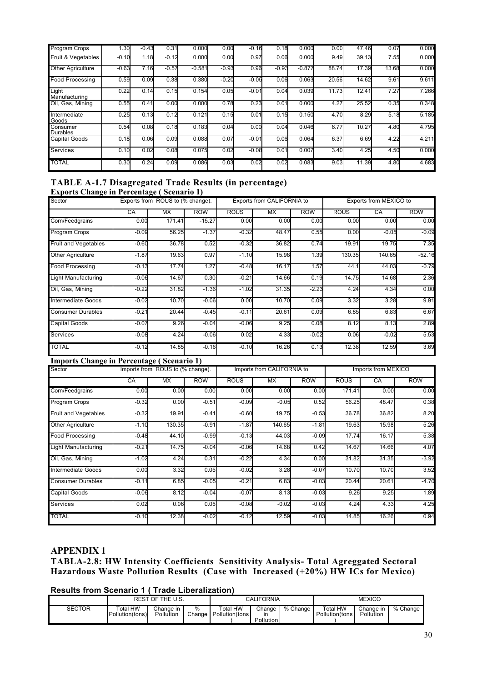| Program Crops          | .30     | $-0.43$ | 0.31    | 0.000    | 0.00    | $-0.16$ | 0.18    | 0.000    | 0.00  | 47.46 | 0.07  | 0.000 |
|------------------------|---------|---------|---------|----------|---------|---------|---------|----------|-------|-------|-------|-------|
| Fruit & Vegetables     | $-0.10$ | 1.18    | $-0.12$ | 0.000    | 0.00    | 0.97    | 0.06    | 0.000    | 9.49  | 39.13 | 7.55  | 0.000 |
| Other Agriculture      | $-0.63$ | 7.16    | $-0.57$ | $-0.581$ | $-0.93$ | 0.96    | $-0.93$ | $-0.877$ | 88.74 | 17.39 | 13.68 | 0.000 |
| <b>Food Processing</b> | 0.59    | 0.09    | 0.38    | 0.380    | $-0.20$ | $-0.05$ | 0.06    | 0.063    | 20.56 | 14.62 | 9.61  | 9.611 |
| Light<br>Manufacturing | 0.22    | 0.14    | 0.15    | 0.154    | 0.05    | $-0.01$ | 0.04    | 0.039    | 11.73 | 12.41 | 7.27  | 7.266 |
| Oil. Gas. Mining       | 0.55    | 0.41    | 0.00    | 0.000    | 0.78    | 0.23    | 0.01    | 0.000    | 4.27  | 25.52 | 0.35  | 0.348 |
| Intermediate<br>Goods  | 0.25    | 0.13    | 0.12    | 0.121    | 0.15    | 0.01    | 0.15    | 0.150    | 4.70  | 8.29  | 5.18  | 5.185 |
| Consumer<br>Durables   | 0.54    | 0.08    | 0.18    | 0.183    | 0.04    | 0.00    | 0.04    | 0.046    | 6.77  | 10.27 | 4.80  | 4.795 |
| <b>Capital Goods</b>   | 0.18    | 0.06    | 0.09    | 0.088    | 0.07    | $-0.01$ | 0.06    | 0.064    | 6.37  | 6.69  | 4.22  | 4.211 |
| <b>Services</b>        | 0.10    | 0.02    | 0.08    | 0.075    | 0.02    | $-0.08$ | 0.01    | 0.007    | 3.40  | 4.25  | 4.50  | 0.000 |
| <b>TOTAL</b>           | 0.30    | 0.24    | 0.09    | 0.086    | 0.03    | 0.02    | 0.02    | 0.083    | 9.03  | 11.39 | 4.80  | 4.683 |

# **TABLE A-1.7 Disagregated Trade Results (in percentage)**

| <b>Exports Change in Percentage (Scenario 1)</b> |         |                                  |            |             |                            |            |             |                        |            |
|--------------------------------------------------|---------|----------------------------------|------------|-------------|----------------------------|------------|-------------|------------------------|------------|
| Sector                                           |         | Exports from ROUS to (% change). |            |             | Exports from CALIFORNIA to |            |             | Exports from MEXICO to |            |
|                                                  | CA      | <b>MX</b>                        | <b>ROW</b> | <b>ROUS</b> | MX                         | <b>ROW</b> | <b>ROUS</b> | CA                     | <b>ROW</b> |
| Corn/Feedgrains                                  | 0.00    | 171.41                           | $-15.27$   | 0.00        | 0.00                       | 0.00       | 0.00        | 0.00                   | 0.00       |
| Program Crops                                    | $-0.09$ | 56.25                            | $-1.37$    | $-0.32$     | 48.47                      | 0.55       | 0.00        | $-0.05$                | $-0.09$    |
| <b>Fruit and Vegetables</b>                      | $-0.60$ | 36.78                            | 0.52       | $-0.32$     | 36.82                      | 0.74       | 19.91       | 19.75                  | 7.35       |
| Other Agriculture                                | $-1.87$ | 19.63                            | 0.97       | $-1.10$     | 15.98                      | 1.39       | 130.35      | 140.65                 | $-52.16$   |
| <b>Food Processing</b>                           | $-0.13$ | 17.74                            | 1.27       | $-0.48$     | 16.17                      | 1.57       | 44.1        | 44.03                  | $-0.79$    |
| <b>Light Manufacturing</b>                       | $-0.06$ | 14.67                            | 0.30       | $-0.21$     | 14.66                      | 0.19       | 14.75       | 14.68                  | 2.36       |
| Oil, Gas, Mining                                 | $-0.22$ | 31.82                            | $-1.36$    | $-1.02$     | 31.35                      | $-2.23$    | 4.24        | 4.34                   | 0.00       |
| Intermediate Goods                               | $-0.02$ | 10.70                            | $-0.06$    | 0.00        | 10.70                      | 0.09       | 3.32        | 3.28                   | 9.91       |
| <b>Consumer Durables</b>                         | $-0.21$ | 20.44                            | $-0.45$    | $-0.11$     | 20.61                      | 0.09       | 6.85        | 6.83                   | 6.67       |
| <b>Capital Goods</b>                             | $-0.07$ | 9.26                             | $-0.04$    | $-0.06$     | 9.25                       | 0.08       | 8.12        | 8.13                   | 2.89       |
| <b>Services</b>                                  | $-0.08$ | 4.24                             | $-0.06$    | 0.02        | 4.33                       | $-0.02$    | 0.06        | $-0.02$                | 5.53       |
| <b>TOTAL</b>                                     | $-0.12$ | 14.85                            | $-0.16$    | $-0.10$     | 16.26                      | 0.13       | 12.38       | 12.59                  | 3.69       |

# **Imports Change in Percentage ( Scenario 1)**

| Sector                     |         | Imports from ROUS to (% change). |            |             | Imports from CALIFORNIA to |            |             | Imports from MEXICO |            |
|----------------------------|---------|----------------------------------|------------|-------------|----------------------------|------------|-------------|---------------------|------------|
|                            | CA      | MX.                              | <b>ROW</b> | <b>ROUS</b> | <b>MX</b>                  | <b>ROW</b> | <b>ROUS</b> | CA                  | <b>ROW</b> |
| Corn/Feedgrains            | 0.00    | 0.00                             | 0.00       | 0.00        | 0.00                       | 0.00       | 171.41      | 0.00                | 0.00       |
| Program Crops              | $-0.32$ | 0.00                             | $-0.51$    | $-0.09$     | $-0.05$                    | 0.52       | 56.25       | 48.47               | 0.38       |
| Fruit and Vegetables       | $-0.32$ | 19.91                            | $-0.41$    | $-0.60$     | 19.75                      | $-0.53$    | 36.78       | 36.82               | 8.20       |
| <b>Other Agriculture</b>   | $-1.10$ | 130.35                           | $-0.91$    | $-1.87$     | 140.65                     | $-1.81$    | 19.63       | 15.98               | 5.26       |
| <b>Food Processing</b>     | $-0.48$ | 44.10                            | $-0.99$    | $-0.13$     | 44.03                      | $-0.09$    | 17.74       | 16.17               | 5.38       |
| <b>Light Manufacturing</b> | $-0.21$ | 14.75                            | $-0.04$    | $-0.06$     | 14.68                      | 0.42       | 14.67       | 14.66               | 4.07       |
| Oil, Gas, Mining           | $-1.02$ | 4.24                             | 0.31       | $-0.22$     | 4.34                       | 0.00       | 31.82       | 31.35               | $-3.92$    |
| Intermediate Goods         | 0.00    | 3.32                             | 0.05       | $-0.02$     | 3.28                       | $-0.07$    | 10.70       | 10.70               | 3.52       |
| <b>Consumer Durables</b>   | $-0.11$ | 6.85                             | $-0.05$    | $-0.21$     | 6.83                       | $-0.03$    | 20.44       | 20.61               | $-4.70$    |
| <b>Capital Goods</b>       | $-0.06$ | 8.12                             | $-0.04$    | $-0.07$     | 8.13                       | $-0.03$    | 9.26        | 9.25                | 1.89       |
| Services                   | 0.02    | 0.06                             | 0.05       | $-0.08$     | $-0.02$                    | $-0.03$    | 4.24        | 4.33                | 4.25       |
| <b>TOTAL</b>               | $-0.10$ | 12.38                            | $-0.02$    | $-0.12$     | 12.59                      | $-0.03$    | 14.85       | 16.26               | 0.94       |

## **APPENDIX 1**

I

**TABLA-2.8: HW Intensity Coefficients Sensitivity Analysis- Total Agreggated Sectoral Hazardous Waste Pollution Results (Case with Increased (+20%) HW ICs for Mexico)**

# **Results from Scenario 1 ( Trade Liberalization)**

|               |                             | REST OF THE U.S.       |             |                                   | <b>CALIFORNIA</b>         |          |                            | <b>MEXICO</b>          |          |
|---------------|-----------------------------|------------------------|-------------|-----------------------------------|---------------------------|----------|----------------------------|------------------------|----------|
| <b>SECTOR</b> | Total HW<br>Pollution(tons) | Change in<br>Pollution | %<br>Change | <b>Total HW</b><br>Pollution(tons | Change<br>in<br>Pollution | % Change | Total HW<br>Pollution(tons | Change in<br>Pollution | % Change |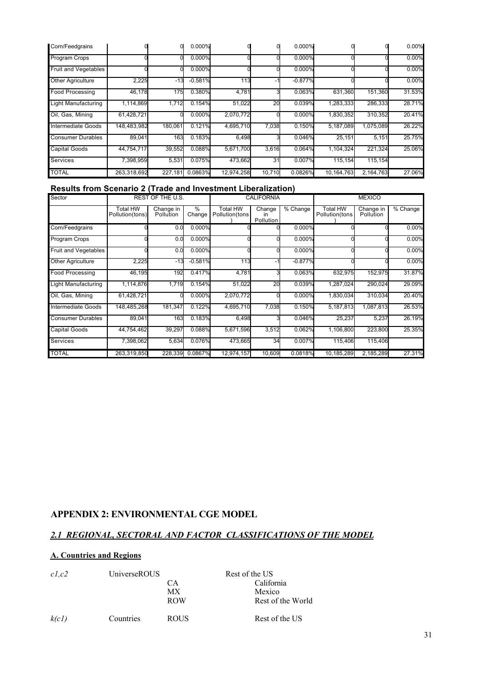| Corn/Feedgrains          |             |         | 0.000%    |            |        | 0.000%    |            |           | 0.00%    |
|--------------------------|-------------|---------|-----------|------------|--------|-----------|------------|-----------|----------|
| <b>Program Crops</b>     |             |         | 0.000%    |            |        | 0.000%    |            |           | $0.00\%$ |
| Fruit and Vegetables     |             |         | 0.000%    |            |        | 0.000%    |            |           | 0.00%    |
| Other Agriculture        | 2,225       | $-13$   | $-0.581%$ | 113        |        | $-0.877%$ |            |           | 0.00%    |
| <b>Food Processing</b>   | 46,178      | 175     | 0.380%    | 4,781      |        | 0.063%    | 631.360    | 151,360   | 31.53%   |
| Light Manufacturing      | 1,114,869   | 1,712   | 0.154%    | 51,022     | 20     | 0.039%    | 1,283,333  | 286,333   | 28.71%   |
| Oil, Gas, Mining         | 61,428,721  |         | 0.000%    | 2,070,772  |        | 0.000%    | 1,830,352  | 310,352   | 20.41%   |
| Intermediate Goods       | 148,483,982 | 180,061 | 0.121%    | 4,695,710  | 7,038  | 0.150%    | 5,187,089  | 1,075,089 | 26.22%   |
| <b>Consumer Durables</b> | 89,041      | 163     | 0.183%    | 6,498      |        | 0.046%    | 25,151     | 5,151     | 25.75%   |
| <b>Capital Goods</b>     | 44,754,717  | 39,552  | 0.088%    | 5,671,700  | 3,616  | 0.064%    | 1,104,324  | 221,324   | 25.06%   |
| Services                 | 7,398,959   | 5,531   | 0.075%    | 473,662    | 31     | 0.007%    | 115,154    | 115,154   |          |
| <b>TOTAL</b>             | 263,318,692 | 227,181 | 0.0863%   | 12,974,258 | 10,710 | 0.0826%   | 10,164,763 | 2,164,763 | 27.06%   |

# **Results from Scenario 2 (Trade and Investment Liberalization)**

| Sector                      |                             | REST OF THE U.S.       |                 |                                   | <b>CALIFORNIA</b>         |           |                                   | <b>MEXICO</b>          |          |
|-----------------------------|-----------------------------|------------------------|-----------------|-----------------------------------|---------------------------|-----------|-----------------------------------|------------------------|----------|
|                             | Total HW<br>Pollution(tons) | Change in<br>Pollution | %<br>Change     | <b>Total HW</b><br>Pollution(tons | Change<br>in<br>Pollution | % Change  | <b>Total HW</b><br>Pollution(tons | Change in<br>Pollution | % Change |
| Corn/Feedgrains             |                             | 0.0                    | 0.000%          |                                   |                           | 0.000%    |                                   |                        | 0.00%    |
| Program Crops               |                             | 0.0                    | 0.000%          |                                   |                           | 0.000%    |                                   |                        | 0.00%    |
| <b>Fruit and Vegetables</b> |                             | 0.0                    | 0.000%          |                                   |                           | 0.000%    |                                   |                        | 0.00%    |
| Other Agriculture           | 2,225                       | $-13$                  | $-0.581%$       | 113                               |                           | $-0.877%$ |                                   |                        | 0.00%    |
| <b>Food Processing</b>      | 46,195                      | 192                    | 0.417%          | 4,781                             |                           | 0.063%    | 632,975                           | 152,975                | 31.87%   |
| Light Manufacturing         | 1,114,876                   | 1,719                  | 0.154%          | 51,022                            | 20                        | 0.039%    | 1,287,024                         | 290,024                | 29.09%   |
| Oil, Gas, Mining            | 61,428,721                  |                        | 0.000%          | 2,070,772                         |                           | 0.000%    | 1,830,034                         | 310,034                | 20.40%   |
| Intermediate Goods          | 148,485,268                 | 181,347                | 0.122%          | 4,695,710                         | 7,038                     | 0.150%    | 5,187,813                         | 1,087,813              | 26.53%   |
| <b>Consumer Durables</b>    | 89,041                      | 163                    | 0.183%          | 6,498                             |                           | 0.046%    | 25,237                            | 5,237                  | 26.19%   |
| <b>Capital Goods</b>        | 44,754,462                  | 39,297                 | 0.088%          | 5,671,596                         | 3,512                     | 0.062%    | 1,106,800                         | 223,800                | 25.35%   |
| Services                    | 7,398,062                   | 5,634                  | 0.076%          | 473,665                           | 34                        | 0.007%    | 115,406                           | 115,406                |          |
| <b>TOTAL</b>                | 263,319,850                 |                        | 228.339 0.0867% | 12,974,157                        | 10,609                    | 0.0818%   | 10,185,289                        | 2,185,289              | 27.31%   |

# **APPENDIX 2: ENVIRONMENTAL CGE MODEL**

# *2.1 REGIONAL, SECTORAL AND FACTOR CLASSIFICATIONS OF THE MODEL*

# **A. Countries and Regions**

| c1,c2 | <b>UniverseROUS</b> |             | Rest of the US    |
|-------|---------------------|-------------|-------------------|
|       |                     | CА          | California        |
|       |                     | МX          | Mexico            |
|       |                     | <b>ROW</b>  | Rest of the World |
| k(cl) | Countries           | <b>ROUS</b> | Rest of the US    |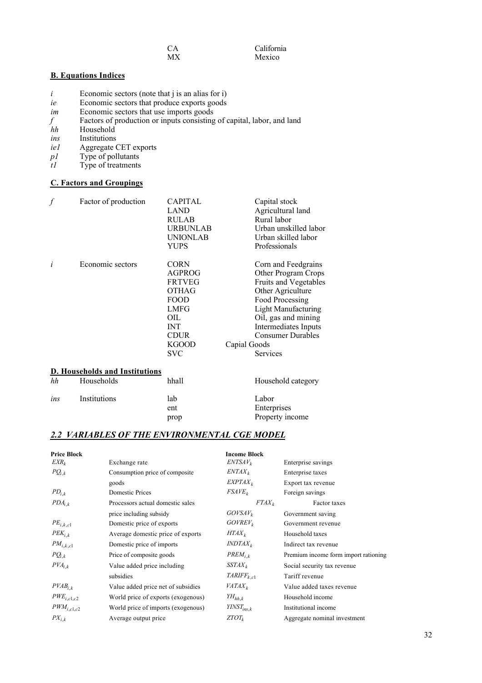| × |  |
|---|--|
|   |  |

**California** Mexico

## **B. Equations Indices**

- $i$  Economic sectors (note that  $j$  is an alias for  $i$ )
- *ie* Economic sectors that produce exports goods
- *im* Economic sectors that use imports goods
- *f* Factors of production or inputs consisting of capital, labor, and land *hh* Household
- Household
- *ins* Institutions
- *ie1* Aggregate CET exports
- *p1* Type of pollutants<br>*t1* Type of treatments
- Type of treatments

# **C. Factors and Groupings**

| f   | Factor of production                  | <b>CAPITAL</b><br><b>LAND</b><br><b>RULAB</b><br><b>URBUNLAB</b><br><b>UNIONLAB</b><br>YUPS                                                                   | Capital stock<br>Agricultural land<br>Rural labor<br>Urban unskilled labor<br>Urban skilled labor<br>Professionals                                                                                                                                      |
|-----|---------------------------------------|---------------------------------------------------------------------------------------------------------------------------------------------------------------|---------------------------------------------------------------------------------------------------------------------------------------------------------------------------------------------------------------------------------------------------------|
| i   | Economic sectors                      | <b>CORN</b><br><b>AGPROG</b><br><b>FRTVEG</b><br><b>OTHAG</b><br><b>FOOD</b><br><b>LMFG</b><br>OIL<br><b>INT</b><br><b>CDUR</b><br><b>KGOOD</b><br><b>SVC</b> | Corn and Feedgrains<br>Other Program Crops<br>Fruits and Vegetables<br>Other Agriculture<br>Food Processing<br><b>Light Manufacturing</b><br>Oil, gas and mining<br>Intermediates Inputs<br><b>Consumer Durables</b><br>Capial Goods<br><b>Services</b> |
|     | <b>D. Households and Institutions</b> |                                                                                                                                                               |                                                                                                                                                                                                                                                         |
| hh  | Households                            | hhall                                                                                                                                                         | Household category                                                                                                                                                                                                                                      |
| ins | Institutions                          | lab<br>ent<br>prop                                                                                                                                            | Labor<br>Enterprises<br>Property income                                                                                                                                                                                                                 |

## *2.2 VARIABLES OF THE ENVIRONMENTAL CGE MODEL*

| <b>Price Block</b>       |                                    | <b>Income Block</b>      |                                      |
|--------------------------|------------------------------------|--------------------------|--------------------------------------|
| $EXR_k$                  | Exchange rate                      | $ENTSAV_k$               | Enterprise savings                   |
| $PQ_{i,k}$               | Consumption price of composite     | $ENTAX_k$                | Enterprise taxes                     |
|                          | goods                              | $EXPTAX_k$               | Export tax revenue                   |
| $PD_{i,k}$               | Domestic Prices                    | $FSAVE_k$                | Foreign savings                      |
| $PDA_{i,k}$              | Processors actual domestic sales   | $FTAX_k$                 | Factor taxes                         |
|                          | price including subsidy            | $GOVSAV_k$               | Government saving                    |
| $\mathit{PE}_{i,k,c1}$   | Domestic price of exports          | $GOVREV_k$               | Government revenue                   |
| $PEK_{i,k}$              | Average domestic price of exports  | $HTAX_k$                 | Household taxes                      |
| $PM_{i,k,c1}$            | Domestic price of imports          | $INDTAX_k$               | Indirect tax revenue                 |
| $PQ_{i,k}$               | Price of composite goods           | $PREM_{i,k}$             | Premium income form import rationing |
| $PVA_{i,k}$              | Value added price including        | $SSTAX_k$                | Social security tax revenue          |
|                          | subsidies                          | $\mathit{TARIFF}_{k.c1}$ | Tariff revenue                       |
| $PVAB_{i,k}$             | Value added price net of subsidies | $VATAX_k$                | Value added taxes revenue            |
| $\mathit{PWE}_{i,c1,c2}$ | World price of exports (exogenous) | $YH_{hh,k}$              | Household income                     |
| $PWM_{i,c1,c2}$          | World price of imports (exogenous) | $YINST_{ins,k}$          | Institutional income                 |
| $PX_{i,k}$               | Average output price               | $ZTOT_k$                 | Aggregate nominal investment         |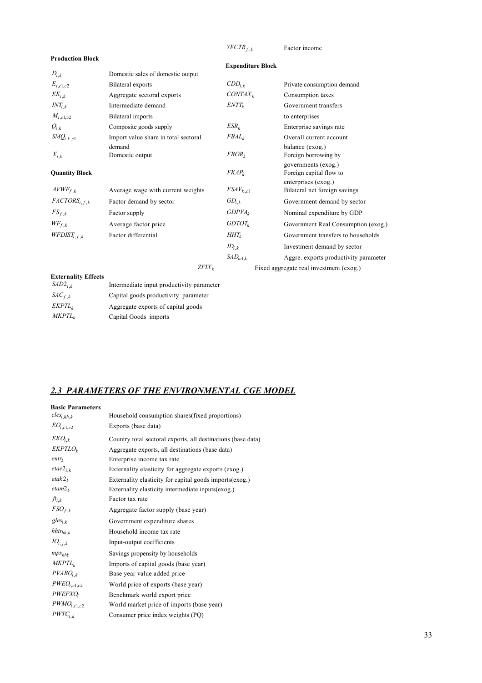*YFCTR<sup>f</sup>* ,*<sup>k</sup>* Factor income

**Production Block**

**Expenditure Block**

| $D_{i,k}$                  | Domestic sales of domestic output         |                |                                                      |
|----------------------------|-------------------------------------------|----------------|------------------------------------------------------|
| $E_{i,c1,c2}$              | Bilateral exports                         | $CDD_{i,k}$    | Private consumption demand                           |
| $EK_{i,k}$                 | Aggregate sectoral exports                | $CONTAX_k$     | Consumption taxes                                    |
| $INT_{i,k}$                | Intermediate demand                       | $ENTT_k$       | Government transfers                                 |
| $M_{i,c1,c2}$              | Bilateral imports                         |                | to enterprises                                       |
| $Q_{i,k}$                  | Composite goods supply                    | $ESR_{k}$      | Enterprise savings rate                              |
| $SMQ_{i,k,c1}$             | Import value share in total sectoral      | $FBAL_k$       | Overall current account                              |
| $X_{i,k}$                  | demand<br>Domestic output                 | $FBOR_k$       | balance (exog.)<br>Foreign borrowing by              |
| <b>Quantity Block</b>      |                                           | $FKAP_k$       | governments (exog.)<br>Foreign capital flow to       |
| $AVWF_{f,k}$               | Average wage with current weights         | $FSAV_{k, c1}$ | enterprises (exog.)<br>Bilateral net foreign savings |
| $FACTORS_{i,f,k}$          | Factor demand by sector                   | $GD_{i,k}$     | Government demand by sector                          |
| $FS_{f,k}$                 | Factor supply                             | $GDPVA_k$      | Nominal expenditure by GDP                           |
| $W\!F_{f,k}$               | Average factor price                      | $GDTOT_k$      | Government Real Consumption (exog.)                  |
| $WFDIST_{i,f,k}$           | Factor differential                       | $HHT_k$        | Government transfers to households                   |
|                            |                                           | $ID_{i,k}$     | Investment demand by sector                          |
|                            |                                           | $SAD_{ie1,k}$  | Aggre. exports productivity parameter                |
|                            | $ZFLX_k$                                  |                | Fixed aggregate real investment (exog.)              |
| <b>Externality Effects</b> |                                           |                |                                                      |
| $SAD2_{i,k}$               | Intermediate input productivity parameter |                |                                                      |

|  |  |  |  | 2.3 PARAMETERS OF THE ENVIRONMENTAL CGE MODEL |  |
|--|--|--|--|-----------------------------------------------|--|
|--|--|--|--|-----------------------------------------------|--|

*SAC<sup>f</sup>* ,*<sup>k</sup>* Capital goods productivity parameter *EKPTL<sub>k</sub>* Aggregate exports of capital goods<br>*MKPTL<sub>k</sub>* Capital Goods imports Capital Goods imports

| <b>Basic Parameters</b> |                                                              |
|-------------------------|--------------------------------------------------------------|
| $cles_{i,hh,k}$         | Household consumption shares (fixed proportions)             |
| $EO_{i.c1.c2}$          | Exports (base data)                                          |
| $EKO_{i,k}$             | Country total sectoral exports, all destinations (base data) |
| $EKPTLO_k$              | Aggregate exports, all destinations (base data)              |
| entr <sub>k</sub>       | Enterprise income tax rate                                   |
| $etae_{i,k}$            | Externality elasticity for aggregate exports (exog.)         |
| $etak2_k$               | Externality elasticity for capital goods imports (exog.)     |
| etam2 <sub>k</sub>      | Externality elasticity intermediate inputs(exog.)            |
| $ft_{i,k}$              | Factor tax rate                                              |
| $FSO_{f,k}$             | Aggregate factor supply (base year)                          |
| $g$ les <sub>ik</sub>   | Government expenditure shares                                |
| $h$ htr $h_{h,k}$       | Household income tax rate                                    |
| $IO_{i\, i\, k}$        | Input-output coefficients                                    |
| $mps_{hhk}$             | Savings propensity by households                             |
| MKPTL <sub>k</sub>      | Imports of capital goods (base year)                         |
| $PVABO_{i,k}$           | Base year value added price                                  |
| $PWEO_{i.c1.c2}$        | World price of exports (base year)                           |
| PWEFXO;                 | Benchmark world export price                                 |
| $PWMO_{i,c1,c2}$        | World market price of imports (base year)                    |
| $PWTC_{i,k}$            | Consumer price index weights (PQ)                            |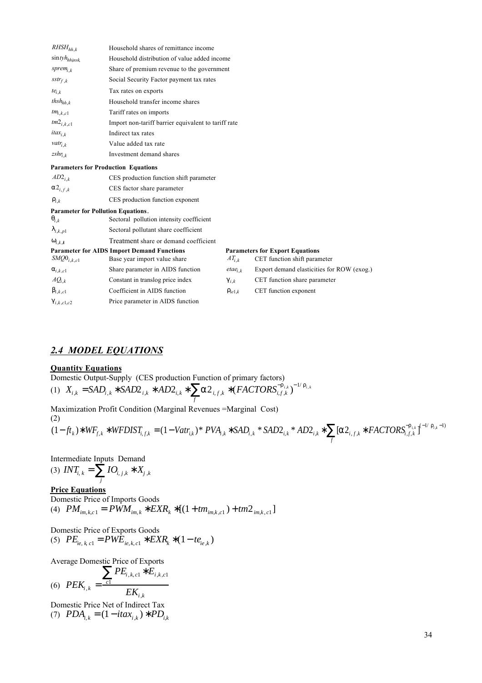| $RHSH_{hh,k}$                              | Household shares of remittance income               |             |                                            |  |
|--------------------------------------------|-----------------------------------------------------|-------------|--------------------------------------------|--|
| $\sin t y h_{h h n s k}$                   | Household distribution of value added income        |             |                                            |  |
| sprem <sub>ik</sub>                        | Share of premium revenue to the government          |             |                                            |  |
| $\mathit{sstr}_{f,k}$                      | Social Security Factor payment tax rates            |             |                                            |  |
| $te_{i,k}$                                 | Tax rates on exports                                |             |                                            |  |
| $thsh_{hh,k}$                              | Household transfer income shares                    |             |                                            |  |
| $tm_{i,k,c1}$                              | Tariff rates on imports                             |             |                                            |  |
| $tm2_{i,k,c1}$                             | Import non-tariff barrier equivalent to tariff rate |             |                                            |  |
| itax <sub>ik</sub>                         | Indirect tax rates                                  |             |                                            |  |
| vatr <sub>i k</sub>                        | Value added tax rate                                |             |                                            |  |
| $zshr_{i,k}$                               | Investment demand shares                            |             |                                            |  |
| <b>Parameters for Production Equations</b> |                                                     |             |                                            |  |
| $AD2_{i,k}$                                | CES production function shift parameter             |             |                                            |  |
| $2_{i,f,k}$                                | CES factor share parameter                          |             |                                            |  |
| i,k                                        | CES production function exponent                    |             |                                            |  |
| <b>Parameter for Pollution Equations.</b>  |                                                     |             |                                            |  |
| i.k                                        | Sectoral pollution intensity coefficient            |             |                                            |  |
| i,k,p1                                     | Sectoral pollutant share coefficient                |             |                                            |  |
| i,k,t                                      | Treatment share or demand coefficient               |             |                                            |  |
|                                            | <b>Parameter for AIDS Import Demand Functions</b>   |             | <b>Parameters for Export Equations</b>     |  |
| $SMQ0_{i,k,c1}$                            | Base year import value share                        | $AT_{i,k}$  | CET function shift parameter               |  |
| i,k,c1                                     | Share parameter in AIDS function                    | $eta_{i,k}$ | Export demand elasticities for ROW (exog.) |  |
| $AQ_{i,k}$                                 | Constant in translog price index                    | i,k         | CET function share parameter               |  |
| i,k,c1                                     | Coefficient in AIDS function                        | ie1.k       | CET function exponent                      |  |
| i,k,c1,c2                                  | Price parameter in AIDS function                    |             |                                            |  |

# *2.4 MODEL EQUATIONS*

### **Quantity Equations**

Domestic Output-Supply (CES production Function of primary factors)  
\n(1) 
$$
X_{i,k} = SAD_{i,k}
$$
  $SAD2_{i,k}$   $AD2_{i,k}$   $2_{i,f,k}$   $(FACTORS_{i,f,k}^{-1})^{-1/-i,k}$ 

*f*

Maximization Profit Condition (Marginal Revenues =Marginal Cost) (2)

$$
(1 - ft_k) \quad WF_{f,k} \quad WFDIST_{i,f,k} = (1 - Vatr_{i,k})^* \quad PVA_{i,k} \quad SAD_{i,k} \quad SAD_{i,k} \quad MDA_{i,k} \quad \text{[} \quad 2_{i,f,k} \quad FACTORS_{i,f,k}^{-1} \quad R \quad \text{[} \quad 1_{i,k}^{-1} \quad R \quad \text{[} \quad 2_{i,f,k} \quad R \quad \text{[} \quad 2_{i,f,k} \quad R \quad \text{[} \quad 2_{i,f,k} \quad R \quad \text{[} \quad 2_{i,f,k} \quad R \quad \text{[} \quad 2_{i,f,k} \quad R \quad \text{[} \quad 2_{i,f,k} \quad R \quad \text{[} \quad 2_{i,f,k} \quad R \quad \text{[} \quad 2_{i,f,k} \quad R \quad \text{[} \quad 2_{i,f,k} \quad R \quad \text{[} \quad 2_{i,f,k} \quad R \quad \text{[} \quad 2_{i,f,k} \quad R \quad \text{[} \quad 2_{i,f,k} \quad R \quad \text{[} \quad 2_{i,f,k} \quad R \quad \text{[} \quad 2_{i,f,k} \quad R \quad \text{[} \quad 2_{i,f,k} \quad R \quad \text{[} \quad 2_{i,f,k} \quad R \quad \text{[} \quad 2_{i,f,k} \quad R \quad \text{[} \quad 2_{i,f,k} \quad R \quad \text{[} \quad 2_{i,f,k} \quad R \quad \text{[} \quad 2_{i,f,k} \quad R \quad \text{[} \quad 2_{i,f,k} \quad R \quad \text{[} \quad 2_{i,f,k} \quad R \quad \text{[} \quad 2_{i,f,k} \quad R \quad \text{[} \quad 2_{i,f,k} \quad R \quad \text{[} \quad 2_{i,f,k} \quad R \quad \text{[} \quad 2_{i,f,k} \quad R \quad \text{[} \quad 2_{i,f,k} \quad R \quad \text{[} \quad 2_{i,f,k} \quad R \quad \text{[} \quad 2_{i,f,k} \quad R \quad \text{[} \quad 2_{i,f,k} \quad R \quad \text{[} \quad 2_{i,f,k} \quad R \quad \text{[} \quad 2_{i,f,k} \quad R \quad \text{[} \quad 2_{i,f,k} \quad R \quad \text{[} \quad 2_{i,f
$$

Intermediate Inputs Demand

(3)  $INT_{i,k} = IO_{i,j,k} \ X_{j,k}$ *j*

**Price Equations**

Domestic Price of Imports Goods (4)  $PM_{im,k,c1} = PWM_{im,k}$   $EXR_k$   $[(1 + tm_{im,k,c1}) + tm2_{im,k,c1}]$ 

Domestic Price of Exports Goods (5)  $PE_{ie, k, c1} = PWE_{ie, k, c1}$   $EXR_{k}$   $(1 - te_{ie,k})$ 

Average Domestic Price of Exports

(6) 
$$
PEK_{i,k} = \frac{eI}{E_{i,k,c1}} E_{i,k,c1}
$$

Domestic Price Net of Indirect Tax (7)  $PDA_{i,k} = (1 - itax_{i,k}) \cdot PD_{i,k}$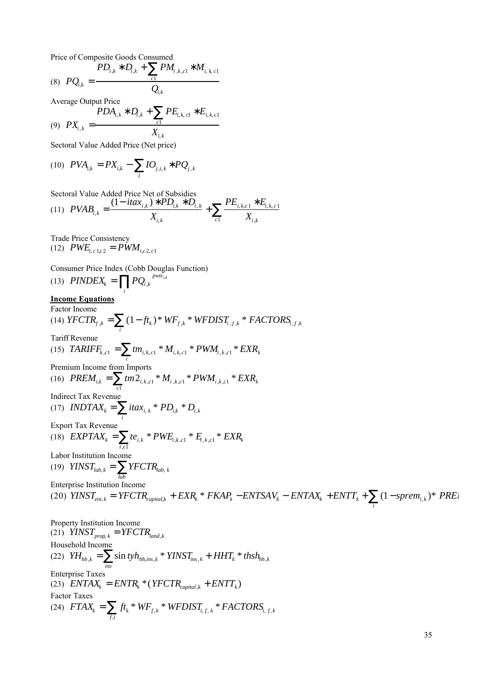Price of Composite Goods Consumed

(8) 
$$
PQ_{i,k} = \frac{PD_{i,k} - D_{i,k} + PM_{i,k,c1} - M_{i,k,c1}}{Q_{i,k}}
$$

Average Output Price

$$
(9) \ \ P X_{i,k} = \frac{PDA_{i,k} \quad D_{i,k} + P E_{i,k,\text{cl}} \quad E_{i,k,\text{cl}}}{X_{i,k}}
$$

Sectoral Value Added Price (Net price)

(10) 
$$
PVA_{i,k} = PX_{i,k} - \frac{IO_{j,i,k}}{I} \cdot PQ_{j,k}
$$

Sectoral Value Added Price Net of Subsidies

$$
(11) \ \ \text{PVAB}_{i,k} = \frac{(1 - itax_{i,k}) \ \ \text{PD}_{i,k} \ \ \text{D}_{i,k}}{X_{i,k}} + \sum_{c1} \frac{\text{PE}_{i,k,c1} \ \ \text{E}_{i,k,c1}}{X_{i,k}}
$$

Trade Price Consistency  $(12)$  *PWE*<sub>*i*, *c* 1*c*</sub> 2 = *PWM*<sub>*i*,*c* 2, *c*1</sub>

Consumer Price Index (Cobb Douglas Function)

(13)  $\text{PINDEX}_k = PQ_{i,k}$ *i pwtci*,*<sup>k</sup>* **Income Equations** Factor Income  $(14) \text{ YFCTR}_{f,k} = (1 - ft_k)^* \text{ WF}_{f,k}^* \text{ WFDIST}_{i,f,k}^* \text{ FACTORS}_{i,f,k}$ *i* Tariff Revenue  $(15)$  *TARIFF*<sub>*k*,*c*1</sub> = *tm*<sub>*i*,*k*,*c*1</sub> \*  $M_{i,k,c1}$  \*  $PWM_{i,k,c1}$  \*  $EXR_k$ *i* Premium Income from Imports  $(16)$   $PREM_{i,k} = \text{tm2}_{i,k,c1} * M_{i,k,c1} * PWM_{i,k,c1} * EXR_{k}$ *c*1 Indirect Tax Revenue (17) *INDTAX*<sub>*k*</sub> = *itax*<sub>*i*, *k*</sub> \*  $PD_{i,k}$  \*  $D_{i,k}$ *i* Export Tax Revenue  $E(XPTAX_k = te_{i,k} * PWE_{i,k,c1} * E_{i,k,c1} * EXR_k$ *i* ,*c*1 Labor Institution Income (19)  $YINST_{lab,k} = YFCTR_{lab,k}$ *lab* Enterprise Institution Income (20)  $YINST_{ent,k} = YFCTR_{capital,k} + EXP_k * FKAP_k - ENTSAV_k - ENTAX_k + ENTT_k + (1-sprem_{i,k}) * PREi$ *i* Property Institution Income

(21)  $YINST_{prop,k} = YFCTR_{land,k}$ Household Income (22)  $YH_{hh,k} = \sin tyh_{hh,ins,k} * YINST_{ins,k} + HHT_k * thsh_{hh,k}$ *ins* Enterprise Taxes (23)  $ENTAX_k = ENTR_k * (YFCTR_{capital,k} + ENT_k)$ Factor Taxes (24)  $FTAX_k = f_k * WF_{f,k} * WFDIST_{i,f,k} * FACTORS_{i,f,k}$ *f* ,*i*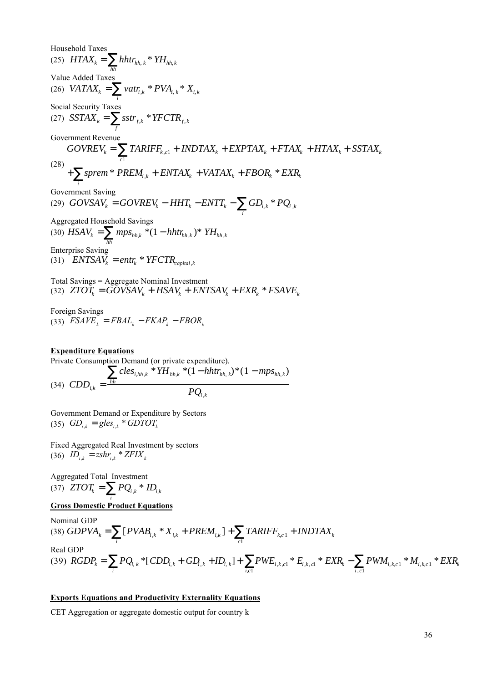Household Taxes (25)  $HTAX_k = \nhhtr_{hh,k} * YH_{hh,k}$ *hh* Value Added Taxes (26) *VATAX<sup>k</sup>* = *vatr<sup>i</sup>* ,*<sup>k</sup>* \* *PVAi*, *<sup>k</sup>* \* *Xi*, *<sup>k</sup> i* Social Security Taxes (27)  $SSTAX_k = \text{sstr}_{f,k} * YFCTR_{f,k}$ *f* Government Revenue (28)  $GOVREV_k = \text{TABLEF}_{k, c1} + \text{INDTAX}_k + \text{EXPTAX}_k + \text{FTAX}_k + \text{HTAX}_k + \text{SSTAX}_k$ *c*1 + *sprem* \* *PREM<sup>i</sup>* ,*<sup>k</sup>* + *ENTAX<sup>k</sup>* + *VATAX<sup>k</sup>* + *FBOR<sup>k</sup>* \* *EXR<sup>k</sup> i* Government Saving (29)  $GOVSAV<sub>k</sub> = GOVREV<sub>k</sub> − HHT<sub>k</sub> − ENTT<sub>k</sub> −  $GD<sub>i,k</sub> * PQ<sub>i,k</sub>$$ *i* Aggregated Household Savings (30)  $HSAV_k = mps_{hh,k} * (1 - hhtr_{hh,k}) * YH_{hh,k}$ *hh* Enterprise Saving (31)  $ENTSAV_k = entr_k * YFCTR_{capital,k}$ Total Savings = Aggregate Nominal Investment

(32)  $ZTOT_k = GOVSAV_k + HSAV_k + ENTSAV_k + EXR_k * FSAVE_k$ 

Foreign Savings  $(33)$   $FSAVE<sub>k</sub> = FBAL<sub>k</sub> - FKAP<sub>k</sub> - FBOR<sub>k</sub>$ 

### **Expenditure Equations**

Private Consumption Demand (or private expenditure). (34)  $CDD_{i,k} = \frac{hh}{h}$  $\int$ *cles*<sub>*i*,*hh*,*k*</sub> \* $YH$ <sub>*hh*,*k*</sub> \* $(1 - hhtr_{hh,k})^* (1 - mps_{hh,k})$  $PQ_{i,k}$ 

Government Demand or Expenditure by Sectors  $(G5)$   $GD_{i,k} = gles_{i,k} * GDTOT_{k}$ 

Fixed Aggregated Real Investment by sectors  $(36)$   $ID_{i,k} = zshr_{i,k} * ZFLX_{k}$ 

Aggregated Total Investment (37)  $ZTOT_k = PQ_{i,k} * ID_{i,k}$ *i*

### **Gross Domestic Product Equations**

Nominal GDP  $(38) GDPVA<sub>k</sub> = [PVAB<sub>i,k</sub> * X<sub>i,k</sub> + PEREM<sub>i,k</sub>]$ *i* + *TARIFFk*,*<sup>c</sup>* <sup>1</sup> + *INDTAX<sup>k</sup> c*1 Real GDP  $(39)$   $RGDP_k = PQ_{i,k} * [CDD_{i,k} + GD_{i,k} + ID_{i,k}]$ *i* +  $PWE_{i,k, c1} * E_{i,k, c1} * EXR_{k}$ *i*,*c*1 − *PWMi*, *<sup>k</sup>*,*<sup>c</sup>* <sup>1</sup> \* *Mi*, *<sup>k</sup>*,*<sup>c</sup>* <sup>1</sup> \* *EXR<sup>k</sup> i* , *c*1

#### **Exports Equations and Productivity Externality Equations**

CET Aggregation or aggregate domestic output for country k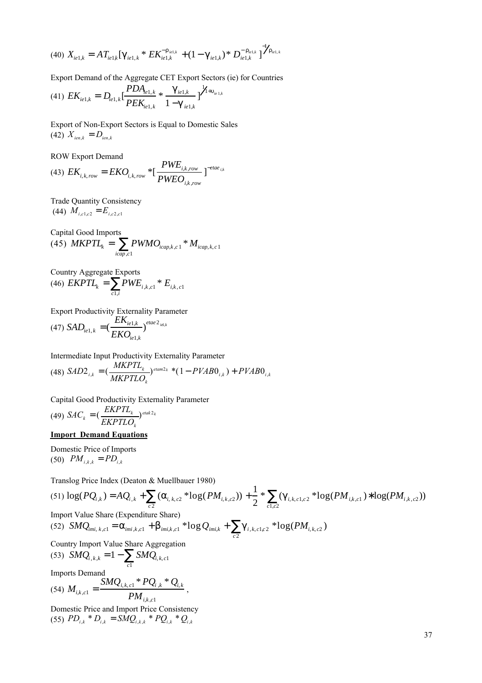$$
(40)\;X_{ie1,k}=AT_{ie1,k}\left[\begin{array}{cc}1 & K_{ie1,k} \end{array} + K_{ie1,k} \right. + (1-\epsilon_{ie1,k})\;*\;D_{ie1,k}^{-1}\left.\frac{1}{2}\right]^{-1}e^{i\epsilon_{1,k}}
$$

Export Demand of the Aggregate CET Export Sectors (ie) for Countries

$$
(41) \ EK_{i e 1,k} = D_{i e 1,k} \left[ \frac{P D A_{i e 1,k}}{P E K_{i e 1,k}} * \frac{_{i e 1,k}}{1 -_{i e 1,k}} \right]^{1/4} \left[ \frac{P D A_{i e 1,k}}{P E K_{i e 1,k}} \right]^{1/4}
$$

Export of Non-Export Sectors is Equal to Domestic Sales  $(42)$   $X_{\text{ien.}k} = D_{\text{ien.}k}$ 

ROW Export Demand

(43) 
$$
EK_{i,k,row} = EKO_{i,k,row} * [\frac{PWE_{i,k,row}}{PWEO_{i,k,row}}]^{-eta_{i,k}}
$$

Trade Quantity Consistency  $(M_i)$   $M_{i,c1,c2} = E_{i,c2,c1}$ 

Capital Good Imports (45)  $MKPTL_k = PWMO_{icap,k,c1} * M_{icap,k,c1}$ *icap* ,*c*1

Country Aggregate Exports  $(46)$   $EXPTL_k = PWE_{i,k,c1} * E_{i,k,c1}$ *c*1,*i*

Export Productivity Externality Parameter  $(47)$  *SAD*<sub>*ie*1,*k*</sub> = ( *EKie*1,*<sup>k</sup>*  $\mathit{EKO}_{i\mathit{e1},k}$ ) *etae* 2 *ie*1,*<sup>k</sup>*

Intermediate Input Productivity Externality Parameter (48)  $SAD2_{i,k} = (\frac{MKPTL_k}{MKPTLO_k})^{etam2_k} * (1 - PVAB0_{i,k}) + PVAB0_{i,k}$  $2_{i,k} = (\frac{M}{M N N T L_k})^{etam2_k} * (1 - PVAB0_{i,k}) + PVAB0_{i,k}$ 

Capital Good Productivity Externality Parameter (49)  $SAC_k = \left(\frac{EKPTL_k}{EERR} \right)^{etak2_k}$  $\mathcal{L}_k = \left(\frac{E}{EKFTLO_k}\right)^{e^{iak2_k}}$ *k*  $=\left(\frac{L}{\sqrt{L}}\right)^{etak}$  $2_k$ 

### **Import Demand Equations**

Domestic Price of Imports  $(50)$   $PM_{i,k,k} = PD_{i,k}$ 

Translog Price Index (Deaton & Muellbauer 1980)

 $(51) \log(PQ_{i,k}) = AQ_{i,k} + (i_{i,k,c2} * log(PM_{i,k,c2}))$ *c* 2 + 1 2 \* ( $\iota_{i,k,c1,c2}$  \*log(*PM*<sub>*ik,c1*</sub>) log(*PM*<sub>*i,k,c2*))</sub> *c*1,*c*2 Import Value Share (Expenditure Share)

(52)  $SMQ_{imi, k, c1} =$   $_{imi, k, c1} + \frac{1}{imi, k, c1} * logQ_{imi, k} + \frac{1}{i, k, c1, c2} * log(PM_{i, k, c2})$ *c* 2

,

Country Import Value Share Aggregation

(53) 
$$
SMQ_{i,k,k} = 1 - SMQ_{i,k,c1}
$$
  
Imports Demand

Imports Demand

$$
(54) \ M_{i,k,c1} = \frac{SMQ_{i,k,c1} * PQ_{i,k} * Q_{i,k}}{PM_{i,k,c1}}
$$

Domestic Price and Import Price Consistency  $(55)$   $PD_{i,k}$   $*D_{i,k}$  =  $SMQ_{i,k,k}$   $*PQ_{i,k}$   $*Q_{i,k}$